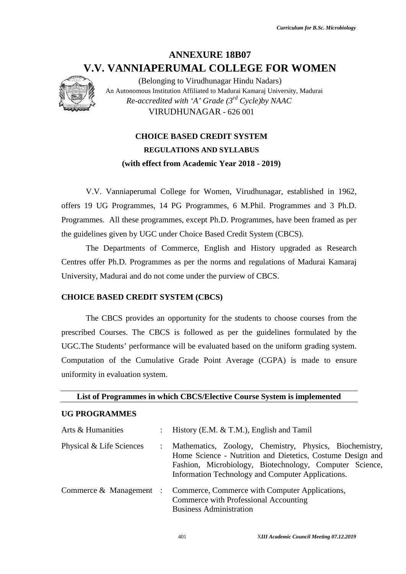# **ANNEXURE 18B07 V.V. VANNIAPERUMAL COLLEGE FOR WOMEN V.V. VANNIAPERUMAL COLLEGE FOR**



# **CHOICE BASED CREDIT SYSTEM CHOICE REGULATIONS AND SYLLABUS (with effect from Academic Year 2018 - 2019) effect from**

# **CHOICE BASED CREDIT SYSTEM (CBCS)**

# **UG PROGRAMMES**

|                                          | V.V. VANNIAPERUMAL COLLEGE FOR WOMEN                                                                                                                                                                                                  |
|------------------------------------------|---------------------------------------------------------------------------------------------------------------------------------------------------------------------------------------------------------------------------------------|
|                                          | (Belonging to Virudhunagar Hindu Nadars)<br>An Autonomous Institution Affiliated to Madurai Kamaraj University, Madurai<br>Re-accredited with 'A' Grade $(3^{rd}$ Cycle)by NAAC                                                       |
|                                          | VIRUDHUNAGAR - 626 001                                                                                                                                                                                                                |
|                                          | <b>CHOICE BASED CREDIT SYSTEM</b>                                                                                                                                                                                                     |
|                                          | <b>REGULATIONS AND SYLLABUS</b>                                                                                                                                                                                                       |
|                                          | (with effect from Academic Year 2018 - 2019)                                                                                                                                                                                          |
|                                          | V.V. Vanniaperumal College for Women, Virudhunagar, established in 1962,                                                                                                                                                              |
|                                          | offers 19 UG Programmes, 14 PG Programmes, 6 M.Phil. Programmes and 3 Ph.D.                                                                                                                                                           |
|                                          | Programmes. All these programmes, except Ph.D. Programmes, have been framed as per<br>the guidelines given by UGC under Choice Based Credit System (CBCS).                                                                            |
|                                          | The Departments of Commerce, English and History upgraded as Research                                                                                                                                                                 |
|                                          | Centres offer Ph.D. Programmes as per the norms and regulations of Madurai Kamaraj                                                                                                                                                    |
|                                          | University, Madurai and do not come under the purview of CBCS.                                                                                                                                                                        |
| <b>CHOICE BASED CREDIT SYSTEM (CBCS)</b> |                                                                                                                                                                                                                                       |
|                                          | The CBCS provides an opportunity for the students to choose courses from the                                                                                                                                                          |
|                                          | prescribed Courses. The CBCS is followed as per the guidelines formulated by the                                                                                                                                                      |
|                                          | UGC. The Students' performance will be evaluated based on the uniform grading system.                                                                                                                                                 |
|                                          | Computation of the Cumulative Grade Point Average (CGPA) is made to ensure                                                                                                                                                            |
| uniformity in evaluation system.         |                                                                                                                                                                                                                                       |
|                                          | List of Programmes in which CBCS/Elective Course System is implemented                                                                                                                                                                |
| <b>UG PROGRAMMES</b>                     |                                                                                                                                                                                                                                       |
| Arts & Humanities                        | History (E.M. & T.M.), English and Tamil                                                                                                                                                                                              |
| Physical & Life Sciences                 | Mathematics, Zoology, Chemistry, Physics, Biochemistry,<br>Home Science - Nutrition and Dietetics, Costume Design and<br>Fashion, Microbiology, Biotechnology, Computer Science,<br>Information Technology and Computer Applications. |
| Commerce & Management :                  | Commerce, Commerce with Computer Applications,<br>Commerce with Professional Accounting<br><b>Business Administration</b>                                                                                                             |
|                                          | 401<br>XIII Academic Council Meeting 07.12.2019                                                                                                                                                                                       |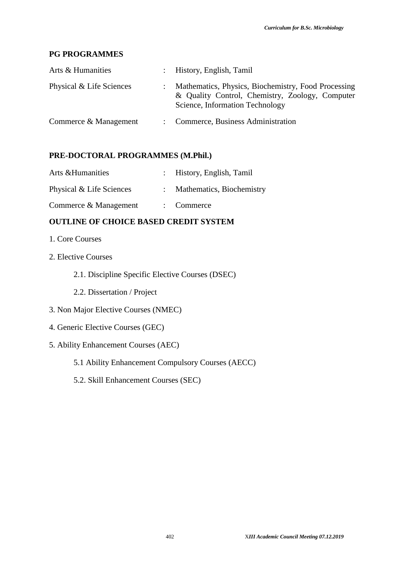# **PG PROGRAMMES**

| Arts & Humanities        | : History, English, Tamil                                                                                                                 |
|--------------------------|-------------------------------------------------------------------------------------------------------------------------------------------|
| Physical & Life Sciences | Mathematics, Physics, Biochemistry, Food Processing<br>& Quality Control, Chemistry, Zoology, Computer<br>Science, Information Technology |
| Commerce & Management    | : Commerce, Business Administration                                                                                                       |

# **PRE-DOCTORAL PROGRAMMES (M.Phil.)**

| Arts & Humanities        | : History, English, Tamil   |
|--------------------------|-----------------------------|
| Physical & Life Sciences | : Mathematics, Biochemistry |
| Commerce & Management    | $\therefore$ Commerce       |

# **OUTLINE OF CHOICE BASED CREDIT SYSTEM**

- 1. Core Courses
- 2. Elective Courses
	- 2.1. Discipline Specific Elective Courses (DSEC)
	- 2.2. Dissertation / Project
- 3. Non Major Elective Courses (NMEC)
- 4. Generic Elective Courses (GEC)
- 5. Ability Enhancement Courses (AEC)
	- 5.1 Ability Enhancement Compulsory Courses (AECC)
	- 5.2. Skill Enhancement Courses (SEC)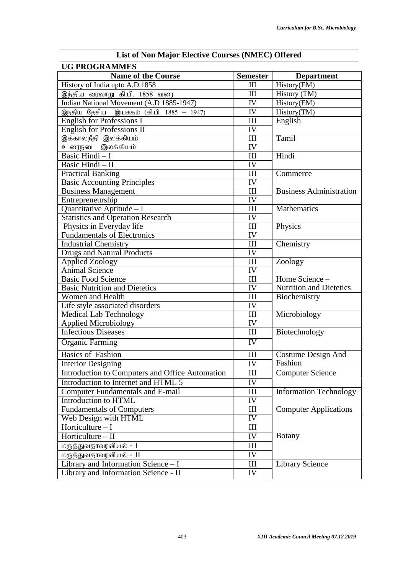| Libe of Twill major Littlety Courses (Tumbe)<br><b>UG PROGRAMMES</b> |                                  |                                |  |  |  |  |
|----------------------------------------------------------------------|----------------------------------|--------------------------------|--|--|--|--|
| <b>Name of the Course</b>                                            | <b>Semester</b>                  | <b>Department</b>              |  |  |  |  |
| History of India upto A.D.1858                                       | III                              | History(EM)                    |  |  |  |  |
| இந்திய வரலாறு கி.பி. 1858 வரை                                        | III                              | History (TM)                   |  |  |  |  |
| Indian National Movement (A.D 1885-1947)                             | IV                               | History(EM)                    |  |  |  |  |
| இந்திய தேசிய இயக்கம் (கி.பி. 1885 – 1947)                            | IV                               | History(TM)                    |  |  |  |  |
| <b>English for Professions I</b>                                     | III                              | English                        |  |  |  |  |
| English for Professions II                                           | IV                               |                                |  |  |  |  |
| இக்காலநீதி இலக்கியம்                                                 | III                              | Tamil                          |  |  |  |  |
| உரைநடை இலக்கியம்                                                     | IV                               |                                |  |  |  |  |
| Basic Hindi - I                                                      | III                              | Hindi                          |  |  |  |  |
| Basic Hindi - II                                                     | IV                               |                                |  |  |  |  |
| <b>Practical Banking</b>                                             | III                              | Commerce                       |  |  |  |  |
| <b>Basic Accounting Principles</b>                                   | IV                               |                                |  |  |  |  |
| <b>Business Management</b>                                           | III                              | <b>Business Administration</b> |  |  |  |  |
| Entrepreneurship                                                     | IV                               |                                |  |  |  |  |
| Quantitative Aptitude - I                                            | III                              | Mathematics                    |  |  |  |  |
| <b>Statistics and Operation Research</b>                             | IV                               |                                |  |  |  |  |
| Physics in Everyday life                                             | III                              | Physics                        |  |  |  |  |
| <b>Fundamentals of Electronics</b>                                   | IV                               |                                |  |  |  |  |
| <b>Industrial Chemistry</b>                                          | Ш                                | Chemistry                      |  |  |  |  |
| <b>Drugs and Natural Products</b>                                    | IV                               |                                |  |  |  |  |
| <b>Applied Zoology</b>                                               | Ш                                | Zoology                        |  |  |  |  |
| <b>Animal Science</b>                                                | IV                               |                                |  |  |  |  |
| <b>Basic Food Science</b>                                            | III                              | Home Science -                 |  |  |  |  |
| <b>Basic Nutrition and Dietetics</b>                                 | IV                               | <b>Nutrition and Dietetics</b> |  |  |  |  |
| Women and Health                                                     | III                              | Biochemistry                   |  |  |  |  |
| Life style associated disorders                                      | IV                               |                                |  |  |  |  |
| Medical Lab Technology                                               | III                              | Microbiology                   |  |  |  |  |
| <b>Applied Microbiology</b>                                          | IV                               |                                |  |  |  |  |
| <b>Infectious Diseases</b>                                           | $\mathop{\rm III}$               | Biotechnology                  |  |  |  |  |
| <b>Organic Farming</b>                                               | $\overline{\text{IV}}$           |                                |  |  |  |  |
| <b>Basics of Fashion</b>                                             | III                              | <b>Costume Design And</b>      |  |  |  |  |
| <b>Interior Designing</b>                                            | $\overline{\text{IV}}$           | Fashion                        |  |  |  |  |
| Introduction to Computers and Office Automation                      | Ш                                | <b>Computer Science</b>        |  |  |  |  |
| Introduction to Internet and HTML 5                                  | IV                               |                                |  |  |  |  |
| <b>Computer Fundamentals and E-mail</b>                              | $\mathop{\rm III}$               | <b>Information Technology</b>  |  |  |  |  |
| Introduction to HTML                                                 | IV                               |                                |  |  |  |  |
| <b>Fundamentals of Computers</b>                                     | $\rm III$                        | <b>Computer Applications</b>   |  |  |  |  |
| Web Design with HTML                                                 | IV                               |                                |  |  |  |  |
| Horticulture $-1$                                                    | III                              |                                |  |  |  |  |
| Horticulture $-$ II                                                  | IV                               | <b>Botany</b>                  |  |  |  |  |
| மருத்துவதாவரவியல் <b>-</b> I                                         | Ш                                |                                |  |  |  |  |
| மருத்துவதாவரவியல் - II                                               | IV                               |                                |  |  |  |  |
| Library and Information Science - I                                  | $\mathop{\mathrm{III}}\nolimits$ | <b>Library Science</b>         |  |  |  |  |
| Library and Information Science - II                                 | IV                               |                                |  |  |  |  |
|                                                                      |                                  |                                |  |  |  |  |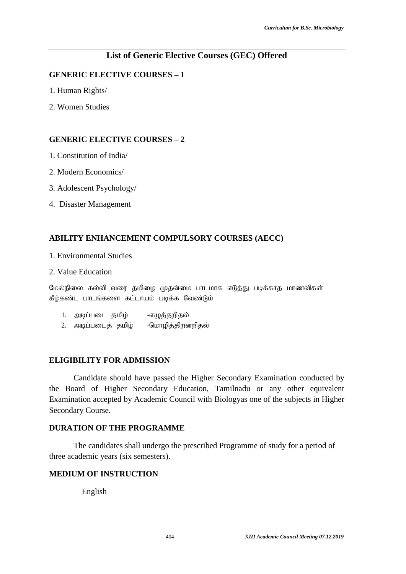# **List of Generic Elective Courses (GEC) Offered**

# **GENERIC ELECTIVE COURSES – 1**

- 1. Human Rights/
- 2. Women Studies

#### **GENERIC ELECTIVE COURSES – 2**

- 1. Constitution of India/
- 2. Modern Economics/
- 3. Adolescent Psychology/
- 4. Disaster Management

# **ABILITY ENHANCEMENT COMPULSORY COURSES (AECC)**

- 1. Environmental Studies
- 2. Value Education

மேல்நிலை கல்வி வரை தமிழை முதன்மை பாடமாக எடுத்து படிக்காத மாணவிகள் கீழ்கண்ட பாடங்களை கட்டாயம் படிக்க வேண்டும்

- 1. அடிப்படை தமிழ் -எழுத்தறிதல்
- 2. அடிப்படைக் தமிழ் -மொழித்திறனறிதல்

#### **ELIGIBILITY FOR ADMISSION**

Candidate should have passed the Higher Secondary Examination conducted by the Board of Higher Secondary Education, Tamilnadu or any other equivalent Examination accepted by Academic Council with Biologyas one of the subjects in Higher Secondary Course.

# **DURATION OF THE PROGRAMME**

The candidates shall undergo the prescribed Programme of study for a period of three academic years (six semesters).

# **MEDIUM OF INSTRUCTION**

English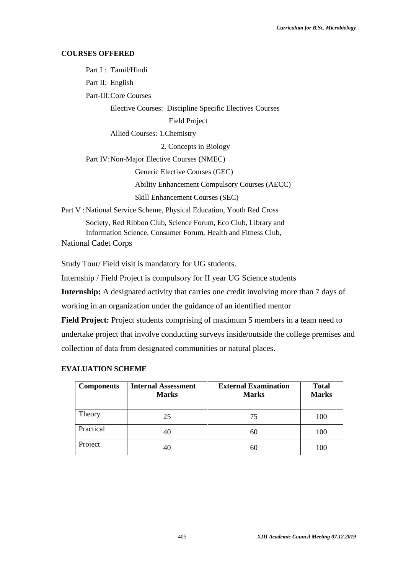# **COURSES OFFERED**

Part I : Tamil/Hindi Part II: English Part-III:Core Courses Elective Courses: Discipline Specific Electives Courses Field Project Allied Courses: 1.Chemistry 2. Concepts in Biology Part IV:Non-Major Elective Courses (NMEC) Generic Elective Courses (GEC) Ability Enhancement Compulsory Courses (AECC) Skill Enhancement Courses (SEC) Part V : National Service Scheme, Physical Education, Youth Red Cross Society, Red Ribbon Club, Science Forum, Eco Club, Library and Information Science, Consumer Forum, Health and Fitness Club,

National Cadet Corps

Study Tour/ Field visit is mandatory for UG students.

Internship / Field Project is compulsory for II year UG Science students

**Internship:** A designated activity that carries one credit involving more than 7 days of working in an organization under the guidance of an identified mentor

**Field Project:** Project students comprising of maximum 5 members in a team need to undertake project that involve conducting surveys inside/outside the college premises and collection of data from designated communities or natural places.

# **EVALUATION SCHEME**

| <b>Components</b> | <b>Internal Assessment</b><br><b>Marks</b> | <b>External Examination</b><br><b>Marks</b> | <b>Total</b><br><b>Marks</b> |
|-------------------|--------------------------------------------|---------------------------------------------|------------------------------|
| Theory            | 25                                         | 75                                          | 100                          |
| Practical         | 40                                         | 60                                          | 100                          |
| Project           | 40                                         | 60                                          | 100                          |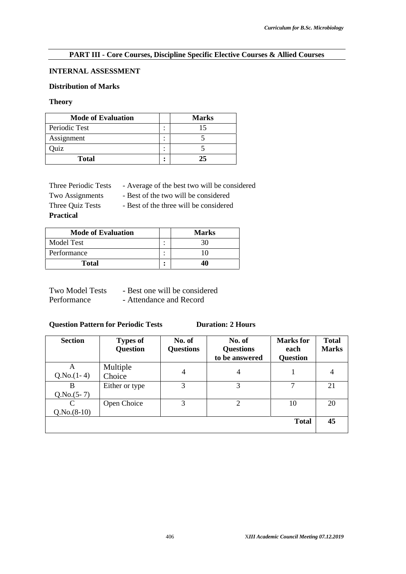### **PART III - Core Courses, Discipline Specific Elective Courses & Allied Courses**

# **INTERNAL ASSESSMENT**

# **Distribution of Marks**

#### **Theory**

| <b>Mode of Evaluation</b> |                | <b>Marks</b> |
|---------------------------|----------------|--------------|
| Periodic Test             | ٠<br>٠         |              |
| Assignment                | ٠<br>$\bullet$ |              |
| Quiz                      | ٠<br>$\cdot$   |              |
| <b>Total</b>              | ٠<br>٠         | 25           |

Three Periodic Tests - Average of the best two will be considered

Two Assignments - Best of the two will be considered **Practical**

Three Quiz Tests - Best of the three will be considered

**Mode of Evaluation Marks** Model Test : 30 Performance 10 **Total : 40**

| <b>Two Model Tests</b> | - Best one will be considered |
|------------------------|-------------------------------|
| Performance            | - Attendance and Record       |

## **Question Pattern for Periodic Tests Duration: 2 Hours**

| <b>Section</b>     | <b>Types of</b><br><b>Question</b> | No. of<br><b>Questions</b> | No. of<br><b>Questions</b><br>to be answered | <b>Marks</b> for<br>each<br><b>Question</b> | <b>Total</b><br><b>Marks</b> |
|--------------------|------------------------------------|----------------------------|----------------------------------------------|---------------------------------------------|------------------------------|
| A<br>$Q.No.(1-4)$  | Multiple<br>Choice                 | $\overline{4}$             | 4                                            |                                             | 4                            |
| B<br>$Q.No.(5-7)$  | Either or type                     | 3                          | 3                                            | 7                                           | 21                           |
| C<br>$Q.No.(8-10)$ | Open Choice                        | 3                          | 2                                            | 10                                          | 20                           |
|                    |                                    |                            |                                              | <b>Total</b>                                | 45                           |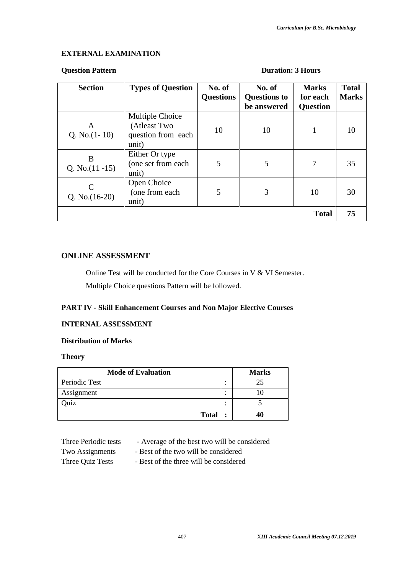# **EXTERNAL EXAMINATION**

#### **Question Pattern Duration: 3 Hours**

| <b>Section</b>          | <b>Types of Question</b>                                       | No. of<br><b>Questions</b> | No. of<br><b>Questions to</b><br>be answered | <b>Marks</b><br>for each<br><b>Question</b> | <b>Total</b><br><b>Marks</b> |
|-------------------------|----------------------------------------------------------------|----------------------------|----------------------------------------------|---------------------------------------------|------------------------------|
| A<br>Q. No. $(1-10)$    | Multiple Choice<br>(Atleast Two<br>question from each<br>unit) | 10                         | 10                                           | 1                                           | 10                           |
| B<br>Q. No. $(11 - 15)$ | Either Or type<br>(one set from each<br>unit)                  | 5                          | 5                                            | 7                                           | 35                           |
| Q. No. $(16-20)$        | Open Choice<br>(one from each<br>unit)                         | 5                          | 3                                            | 10                                          | 30                           |
|                         |                                                                |                            |                                              | <b>Total</b>                                | 75                           |

# **ONLINE ASSESSMENT**

Online Test will be conducted for the Core Courses in V & VI Semester. Multiple Choice questions Pattern will be followed.

# **PART IV - Skill Enhancement Courses and Non Major Elective Courses**

#### **INTERNAL ASSESSMENT**

#### **Distribution of Marks**

# **Theory**

| <b>Mode of Evaluation</b> |   | <b>Marks</b> |
|---------------------------|---|--------------|
| Periodic Test             | ٠ | 25           |
| Assignment                | ٠ |              |
| Quiz                      | ٠ |              |
| <b>Total</b>              |   | 40           |

| Three Periodic tests | - Average of the best two will be considered |  |
|----------------------|----------------------------------------------|--|
|----------------------|----------------------------------------------|--|

- Two Assignments Best of the two will be considered
- 
- Three Quiz Tests Best of the three will be considered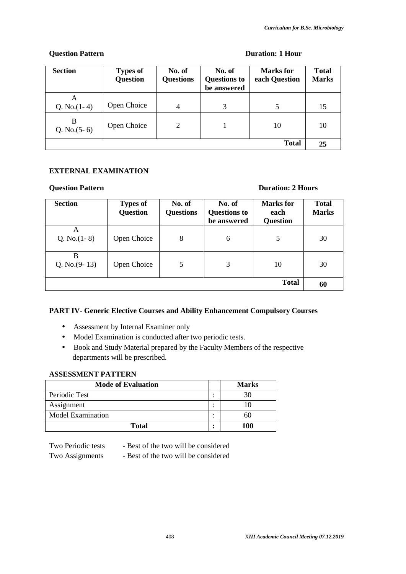# **Question Pattern Duration: 1 Hour**

| <b>Section</b>      | <b>Types of</b><br><b>Question</b> | No. of<br><b>Questions</b> | No. of<br><b>Questions to</b><br>be answered | Marks for<br>each Question | <b>Total</b><br><b>Marks</b> |
|---------------------|------------------------------------|----------------------------|----------------------------------------------|----------------------------|------------------------------|
| A<br>Q. No. $(1-4)$ | Open Choice                        | 4                          | 3                                            |                            | 15                           |
| B<br>Q. No. $(5-6)$ | Open Choice                        | 2                          |                                              | 10                         | 10                           |
|                     |                                    |                            |                                              | Total                      | 25                           |

# **EXTERNAL EXAMINATION**

# **Question Pattern Duration: 2 Hours**

| <b>Section</b>       | <b>Types of</b><br><b>Question</b> | No. of<br><b>Questions</b> | No. of<br><b>Questions to</b><br>be answered | Marks for<br>each<br><b>Question</b> | <b>Total</b><br><b>Marks</b> |
|----------------------|------------------------------------|----------------------------|----------------------------------------------|--------------------------------------|------------------------------|
| A<br>Q. No. $(1-8)$  | Open Choice                        | 8                          | 6                                            | 5                                    | 30                           |
| B<br>Q. No. $(9-13)$ | Open Choice                        | 5                          | 3                                            | 10                                   | 30                           |
|                      |                                    |                            |                                              | <b>Total</b>                         | 60                           |

# **PART IV- Generic Elective Courses and Ability Enhancement Compulsory Courses**

- Assessment by Internal Examiner only
- Model Examination is conducted after two periodic tests.
- Book and Study Material prepared by the Faculty Members of the respective departments will be prescribed.

# **ASSESSMENT PATTERN**

| <b>Mode of Evaluation</b> | <b>Marks</b> |
|---------------------------|--------------|
| Periodic Test             | 30           |
| Assignment                |              |
| Model Examination         | 60           |
| Total                     | 100          |

Two Periodic tests - Best of the two will be considered

Two Assignments - Best of the two will be considered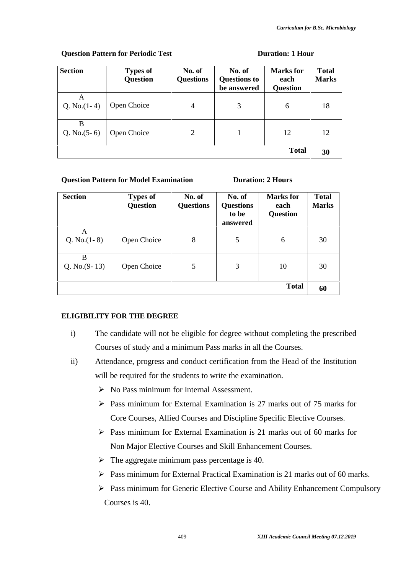| <b>Section</b>      | <b>Types of</b><br><b>Question</b> | No. of<br><b>Questions</b> | No. of<br><b>Questions to</b><br>be answered | <b>Marks</b> for<br>each<br><b>Question</b> | <b>Total</b><br><b>Marks</b> |
|---------------------|------------------------------------|----------------------------|----------------------------------------------|---------------------------------------------|------------------------------|
| A<br>Q. No. $(1-4)$ | Open Choice                        | $\overline{4}$             | 3                                            | 6                                           | 18                           |
| B<br>Q. No. $(5-6)$ | Open Choice                        | 2                          |                                              | 12                                          | 12                           |
|                     |                                    |                            |                                              | <b>Total</b>                                | 30                           |

## **Question Pattern for Periodic Test Duration: 1 Hour**

# **Question Pattern for Model Examination Duration:** 2 Hours

| <b>Section</b>       | <b>Types of</b><br><b>Question</b> | No. of<br><b>Questions</b> | No. of<br><b>Questions</b><br>to be<br>answered | Marks for<br>each<br><b>Question</b> | <b>Total</b><br><b>Marks</b> |
|----------------------|------------------------------------|----------------------------|-------------------------------------------------|--------------------------------------|------------------------------|
| A<br>Q. No. $(1-8)$  | Open Choice                        | 8                          | 5                                               | 6                                    | 30                           |
| B<br>Q. No. $(9-13)$ | Open Choice                        | 5                          | 3                                               | 10                                   | 30                           |
|                      |                                    |                            |                                                 | <b>Total</b>                         | 60                           |

# **ELIGIBILITY FOR THE DEGREE**

- i) The candidate will not be eligible for degree without completing the prescribed Courses of study and a minimum Pass marks in all the Courses.
- ii) Attendance, progress and conduct certification from the Head of the Institution will be required for the students to write the examination.
	- $\triangleright$  No Pass minimum for Internal Assessment.
	- $\triangleright$  Pass minimum for External Examination is 27 marks out of 75 marks for Core Courses, Allied Courses and Discipline Specific Elective Courses.
	- $\triangleright$  Pass minimum for External Examination is 21 marks out of 60 marks for Non Major Elective Courses and Skill Enhancement Courses.
	- $\triangleright$  The aggregate minimum pass percentage is 40.
	- $\triangleright$  Pass minimum for External Practical Examination is 21 marks out of 60 marks.
	- Pass minimum for Generic Elective Course and Ability Enhancement Compulsory Courses is 40.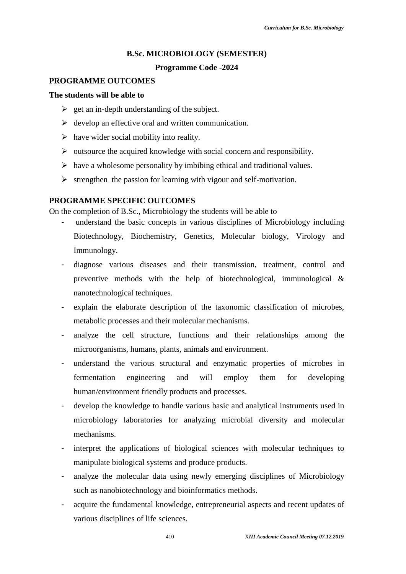#### **B.Sc. MICROBIOLOGY (SEMESTER)**

#### **Programme Code -2024**

# **PROGRAMME OUTCOMES**

# **The students will be able to**

- $\geq$  get an in-depth understanding of the subject.
- $\triangleright$  develop an effective oral and written communication.
- $\triangleright$  have wider social mobility into reality.
- $\triangleright$  outsource the acquired knowledge with social concern and responsibility.
- $\triangleright$  have a wholesome personality by imbibing ethical and traditional values.
- $\triangleright$  strengthen the passion for learning with vigour and self-motivation.

# **PROGRAMME SPECIFIC OUTCOMES**

On the completion of B.Sc., Microbiology the students will be able to

- understand the basic concepts in various disciplines of Microbiology including Biotechnology, Biochemistry, Genetics, Molecular biology, Virology and Immunology.
- diagnose various diseases and their transmission, treatment, control and preventive methods with the help of biotechnological, immunological & nanotechnological techniques.
- explain the elaborate description of the taxonomic classification of microbes, metabolic processes and their molecular mechanisms.
- analyze the cell structure, functions and their relationships among the microorganisms, humans, plants, animals and environment.
- understand the various structural and enzymatic properties of microbes in fermentation engineering and will employ them for developing human/environment friendly products and processes.
- develop the knowledge to handle various basic and analytical instruments used in microbiology laboratories for analyzing microbial diversity and molecular mechanisms.
- interpret the applications of biological sciences with molecular techniques to manipulate biological systems and produce products.
- analyze the molecular data using newly emerging disciplines of Microbiology such as nanobiotechnology and bioinformatics methods.
- acquire the fundamental knowledge, entrepreneurial aspects and recent updates of various disciplines of life sciences.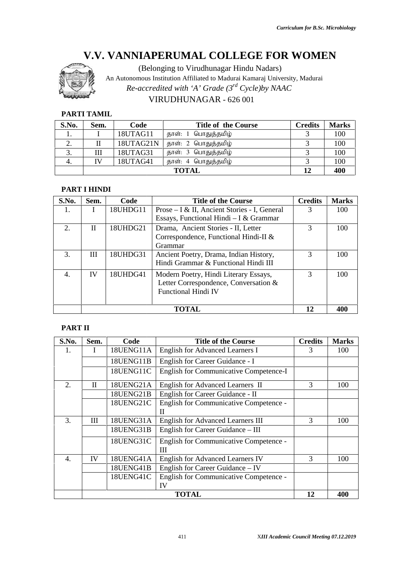

# VIRUDHUNAGAR - 626 001

# **PARTI TAMIL**

| S.No.    | Sem. | Code      | <b>Title of the Course</b> | <b>Credits</b> | <b>Marks</b> |
|----------|------|-----------|----------------------------|----------------|--------------|
|          |      | 18UTAG11  | தாள்: 1 பொதுத்தமிழ்        |                | 100          |
| <u>.</u> |      | 18UTAG21N | தாள்: 2 பொதுத்தமிழ்        |                | 100          |
| .ບ.      | Ш    | 18UTAG31  | தாள்: 3 பொதுத்தமிழ்        |                | 100          |
|          | IV   | 18UTAG41  | தாள்: 4 பொதுத்தமிழ்        |                | 100          |
|          |      |           | <b>TOTAL</b>               | 12             | 400          |

#### **PART I HINDI**

| S.No. | Sem. | Code     | <b>Title of the Course</b>                                                                                   | <b>Credits</b> | <b>Marks</b> |
|-------|------|----------|--------------------------------------------------------------------------------------------------------------|----------------|--------------|
| 1.    |      | 18UHDG11 | Prose – I & II, Ancient Stories - I, General<br>Essays, Functional Hindi – I & Grammar                       | 3              | 100          |
| 2.    | П    | 18UHDG21 | Drama, Ancient Stories - II, Letter<br>Correspondence, Functional Hindi-II &<br>Grammar                      | $\mathcal{R}$  | 100          |
| 3.    | Ш    | 18UHDG31 | Ancient Poetry, Drama, Indian History,<br>Hindi Grammar & Functional Hindi III                               | $\mathcal{R}$  | 100          |
| 4.    | IV   | 18UHDG41 | Modern Poetry, Hindi Literary Essays,<br>Letter Correspondence, Conversation &<br><b>Functional Hindi IV</b> | 3              | 100          |
|       |      |          | TOTAL                                                                                                        | 12             | 400          |

# **PART II**

|                         |                                  |                        | Re-accredited with 'A' Grade $(3^{rd}$ Cycle)by NAAC<br>VIRUDHUNAGAR - 626 001                               |                |              |
|-------------------------|----------------------------------|------------------------|--------------------------------------------------------------------------------------------------------------|----------------|--------------|
|                         | <b>PARTI TAMIL</b>               |                        |                                                                                                              |                |              |
| S.No.                   | Sem.                             | Code                   | <b>Title of the Course</b>                                                                                   | <b>Credits</b> | <b>Marks</b> |
| 1.                      | I                                | 18UTAG11               | பொதுத்தமிழ்<br>தாள்: 1                                                                                       | 3              | 100          |
| 2.                      | $\mathbf{I}$                     | 18UTAG21N              | தாள்: 2 பொதுத்தமிழ்                                                                                          | 3              | 100          |
| 3.                      | III                              | 18UTAG31               | தாள்: 3 பொதுத்தமிழ்                                                                                          | 3              | 100          |
| 4.                      | IV                               | 18UTAG41               | தாள்: 4 பொதுத்தமிழ்                                                                                          | 3              | 100          |
|                         |                                  |                        | <b>TOTAL</b>                                                                                                 | 12             | 400          |
|                         | <b>PART I HINDI</b>              |                        |                                                                                                              |                |              |
| S.No.                   | Sem.                             | Code                   | <b>Title of the Course</b>                                                                                   | <b>Credits</b> | <b>Marks</b> |
| 1.                      | I                                | 18UHDG11               | Prose - I & II, Ancient Stories - I, General<br>Essays, Functional Hindi - I & Grammar                       | 3              | 100          |
| 2.                      | $\mathbf{I}$                     | 18UHDG21               | Drama, Ancient Stories - II, Letter<br>Correspondence, Functional Hindi-II &<br>Grammar                      | $\overline{3}$ | 100          |
| 3.                      | $\mathop{\mathrm{III}}\nolimits$ | 18UHDG31               | Ancient Poetry, Drama, Indian History,<br>Hindi Grammar & Functional Hindi III                               | 3              | 100          |
| 4.                      | IV                               | 18UHDG41               | Modern Poetry, Hindi Literary Essays,<br>Letter Correspondence, Conversation &<br><b>Functional Hindi IV</b> | 3              | 100          |
|                         |                                  |                        | <b>TOTAL</b>                                                                                                 | 12             | 400          |
| <b>PART II</b><br>S.No. | Sem.                             | Code                   | <b>Title of the Course</b>                                                                                   | <b>Credits</b> | <b>Marks</b> |
| 1.                      | I                                | 18UENG11A              | <b>English for Advanced Learners I</b>                                                                       | 3              | 100          |
|                         |                                  | 18UENG11B              | English for Career Guidance - I                                                                              |                |              |
|                         |                                  | 18UENG11C              | English for Communicative Competence-I                                                                       |                |              |
|                         | $\mathbf{I}$                     | 18UENG21A              | English for Advanced Learners II                                                                             | 3              | 100          |
| 2.                      |                                  | 18UENG21B              | English for Career Guidance - II                                                                             |                |              |
|                         |                                  | 18UENG21C              | English for Communicative Competence -                                                                       |                |              |
|                         |                                  |                        | П                                                                                                            |                |              |
|                         |                                  | 18UENG31A<br>18UENG31B | English for Advanced Learners III<br>English for Career Guidance - III                                       | 3              | 100          |
| 3.                      | Ш                                |                        |                                                                                                              |                |              |
|                         |                                  | 18UENG31C              | English for Communicative Competence -<br>$\mathop{\mathrm{III}}\nolimits$                                   |                |              |
|                         |                                  |                        |                                                                                                              | 3              | 100          |
| 4.                      | IV                               | 18UENG41A              | <b>English for Advanced Learners IV</b>                                                                      |                |              |
|                         |                                  | 18UENG41B              | English for Career Guidance - IV                                                                             |                |              |
|                         |                                  | 18UENG41C              | English for Communicative Competence -<br>IV                                                                 |                |              |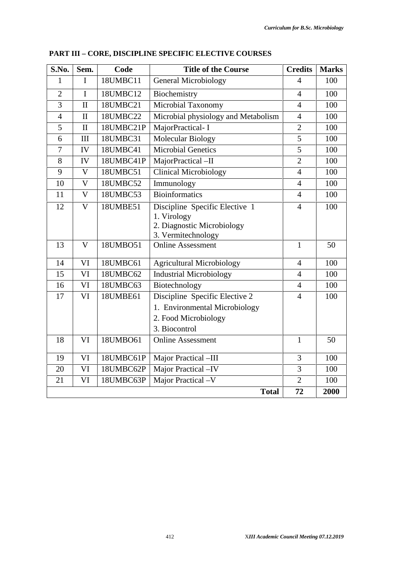| S.No.          | Sem.         | Code      | <b>Title of the Course</b>                                                                               | <b>Credits</b> | <b>Marks</b> |
|----------------|--------------|-----------|----------------------------------------------------------------------------------------------------------|----------------|--------------|
| 1              | I            | 18UMBC11  | <b>General Microbiology</b>                                                                              | $\overline{4}$ | 100          |
| $\overline{2}$ | $\mathbf I$  | 18UMBC12  | Biochemistry                                                                                             | $\overline{4}$ | 100          |
| 3              | $\mathbf{I}$ | 18UMBC21  | Microbial Taxonomy                                                                                       | $\overline{4}$ | 100          |
| $\overline{4}$ | $\mathbf{I}$ | 18UMBC22  | Microbial physiology and Metabolism                                                                      | $\overline{4}$ | 100          |
| 5              | $\mathbf H$  | 18UMBC21P | MajorPractical- I                                                                                        | $\overline{2}$ | 100          |
| 6              | III          | 18UMBC31  | <b>Molecular Biology</b>                                                                                 | 5              | 100          |
| $\overline{7}$ | IV           | 18UMBC41  | <b>Microbial Genetics</b>                                                                                | 5              | 100          |
| 8              | IV           | 18UMBC41P | MajorPractical-II                                                                                        | $\overline{2}$ | 100          |
| 9              | $\mathbf{V}$ | 18UMBC51  | <b>Clinical Microbiology</b>                                                                             | $\overline{4}$ | 100          |
| 10             | $\mathbf{V}$ | 18UMBC52  | Immunology                                                                                               | $\overline{4}$ | 100          |
| 11             | V            | 18UMBC53  | <b>Bioinformatics</b>                                                                                    | $\overline{4}$ | 100          |
| 12             | V            | 18UMBE51  | Discipline Specific Elective 1<br>1. Virology<br>2. Diagnostic Microbiology<br>3. Vermitechnology        | $\overline{4}$ | 100          |
| 13             | $\mathbf{V}$ | 18UMB051  | <b>Online Assessment</b>                                                                                 | $\mathbf{1}$   | 50           |
| 14             | VI           | 18UMBC61  | <b>Agricultural Microbiology</b>                                                                         | $\overline{4}$ | 100          |
| 15             | VI           | 18UMBC62  | <b>Industrial Microbiology</b>                                                                           | $\overline{4}$ | 100          |
| 16             | VI           | 18UMBC63  | Biotechnology                                                                                            | $\overline{4}$ | 100          |
| 17             | VI           | 18UMBE61  | Discipline Specific Elective 2<br>1. Environmental Microbiology<br>2. Food Microbiology<br>3. Biocontrol | $\overline{4}$ | 100          |
| 18             | VI           | 18UMBO61  | <b>Online Assessment</b>                                                                                 | $\mathbf{1}$   | 50           |
| 19             | VI           | 18UMBC61P | Major Practical -III                                                                                     | 3              | 100          |
| 20             | VI           | 18UMBC62P | Major Practical -IV                                                                                      | 3              | 100          |
| 21             | VI           | 18UMBC63P | Major Practical -V                                                                                       | $\overline{2}$ | 100          |
|                |              |           | <b>Total</b>                                                                                             | 72             | 2000         |

# **PART III – CORE, DISCIPLINE SPECIFIC ELECTIVE COURSES**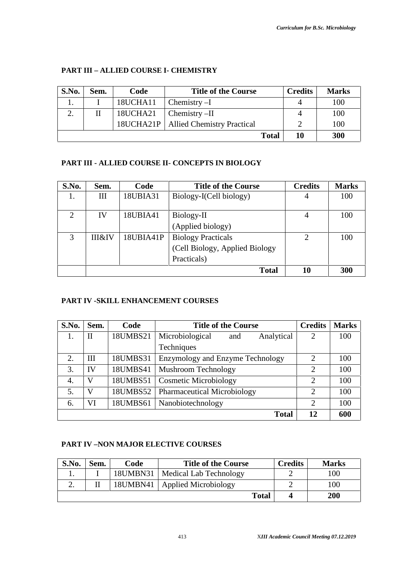| S.No. | Sem. | Code     | <b>Title of the Course</b>             | <b>Credits</b> | <b>Marks</b> |
|-------|------|----------|----------------------------------------|----------------|--------------|
|       |      | 18UCHA11 | Chemistry $-I$                         |                | 100          |
|       |      | 18UCHA21 | $Chemistry - II$                       |                | 100          |
|       |      |          | 18UCHA21P   Allied Chemistry Practical |                | 100          |
|       |      |          | <b>Total</b>                           | 10             | 300          |

# **PART III – ALLIED COURSE I- CHEMISTRY**

# **PART III - ALLIED COURSE II- CONCEPTS IN BIOLOGY**

| S.No.                       | Sem.              | Code      | <b>Title of the Course</b>     | <b>Credits</b>              | <b>Marks</b> |
|-----------------------------|-------------------|-----------|--------------------------------|-----------------------------|--------------|
| Ī.                          | Ш                 | 18UBIA31  | Biology-I(Cell biology)        | 4                           | 100          |
|                             |                   |           |                                |                             |              |
| $\mathcal{D}_{\mathcal{L}}$ | IV                | 18UBIA41  | Biology-II                     | 4                           | 100          |
|                             |                   |           | (Applied biology)              |                             |              |
| 3                           | <b>III&amp;IV</b> | 18UBIA41P | <b>Biology Practicals</b>      | $\mathcal{D}_{\mathcal{L}}$ | 100          |
|                             |                   |           | (Cell Biology, Applied Biology |                             |              |
|                             |                   |           | Practicals)                    |                             |              |
|                             |                   |           | <b>Total</b>                   | 10                          | 300          |

# **PART IV -SKILL ENHANCEMENT COURSES**

| S.No. | Sem. | Code     | <b>Title of the Course</b>           | <b>Credits</b>              | <b>Marks</b> |
|-------|------|----------|--------------------------------------|-----------------------------|--------------|
| 1.    | П    | 18UMBS21 | Microbiological<br>Analytical<br>and | 2                           | 100          |
|       |      |          | Techniques                           |                             |              |
| 2.    | Ш    | 18UMBS31 | Enzymology and Enzyme Technology     | $\mathcal{D}_{\mathcal{L}}$ | 100          |
| 3.    | IV   | 18UMBS41 | <b>Mushroom Technology</b>           | $\overline{2}$              | 100          |
| 4.    | V    | 18UMBS51 | <b>Cosmetic Microbiology</b>         | $\overline{2}$              | 100          |
| 5.    | V    | 18UMBS52 | <b>Pharmaceutical Microbiology</b>   | $\overline{2}$              | 100          |
| 6.    | VI   | 18UMBS61 | Nanobiotechnology                    | $\mathcal{D}_{\mathcal{L}}$ | 100          |
|       |      |          | <b>Total</b>                         | 12                          | 600          |

# **PART IV –NON MAJOR ELECTIVE COURSES**

| S.No. | Sem. | Code     | <b>Title of the Course</b> | <b>Credits</b> | <b>Marks</b> |
|-------|------|----------|----------------------------|----------------|--------------|
|       |      | 18UMBN31 | Medical Lab Technology     |                | 100          |
| ـ.    |      | 18UMBN41 | Applied Microbiology       |                | 100          |
|       |      |          | Total                      |                | 200          |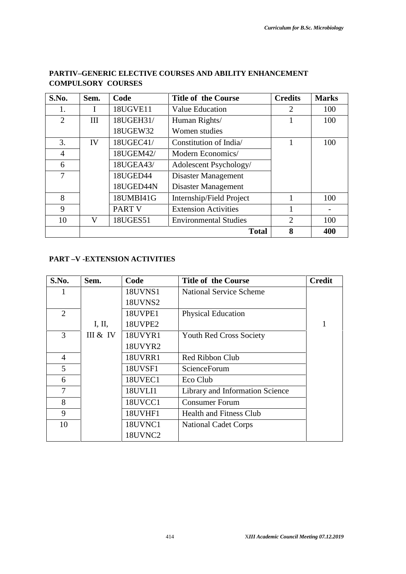| S.No. | Sem. | Code          | <b>Title of the Course</b>   | <b>Credits</b> | <b>Marks</b> |
|-------|------|---------------|------------------------------|----------------|--------------|
| 1.    |      | 18UGVE11      | <b>Value Education</b>       | 2              | 100          |
| 2     | III  | 18UGEH31/     | Human Rights/                |                | 100          |
|       |      | 18UGEW32      | Women studies                |                |              |
| 3.    | IV   | 18UGEC41/     | Constitution of India        |                | 100          |
| 4     |      | 18UGEM42/     | Modern Economics/            |                |              |
| 6     |      | 18UGEA43/     | Adolescent Psychology/       |                |              |
| 7     |      | 18UGED44      | Disaster Management          |                |              |
|       |      | 18UGED44N     | Disaster Management          |                |              |
| 8     |      | 18UMBI41G     | Internship/Field Project     |                | 100          |
| 9     |      | <b>PART V</b> | <b>Extension Activities</b>  |                |              |
| 10    | V    | 18UGES51      | <b>Environmental Studies</b> | $\overline{2}$ | 100          |
|       |      |               | <b>Total</b>                 | 8              | 400          |

# **PARTIV–GENERIC ELECTIVE COURSES AND ABILITY ENHANCEMENT COMPULSORY COURSES**

# **PART –V -EXTENSION ACTIVITIES**

| S.No.          | Sem.     | Code           | <b>Title of the Course</b>      | <b>Credit</b> |
|----------------|----------|----------------|---------------------------------|---------------|
|                |          | <b>18UVNS1</b> | <b>National Service Scheme</b>  |               |
|                |          | <b>18UVNS2</b> |                                 |               |
| $\overline{2}$ |          | 18UVPE1        | <b>Physical Education</b>       |               |
|                | I, II,   | 18UVPE2        |                                 |               |
| 3              | III & IV | 18UVYR1        | <b>Youth Red Cross Society</b>  |               |
|                |          | 18UVYR2        |                                 |               |
| $\overline{4}$ |          | <b>18UVRR1</b> | Red Ribbon Club                 |               |
| 5              |          | 18UVSF1        | ScienceForum                    |               |
| 6              |          | 18UVEC1        | Eco Club                        |               |
| 7              |          | 18UVLI1        | Library and Information Science |               |
| 8              |          | 18UVCC1        | <b>Consumer Forum</b>           |               |
| 9              |          | 18UVHF1        | <b>Health and Fitness Club</b>  |               |
| 10             |          | 18UVNC1        | <b>National Cadet Corps</b>     |               |
|                |          | 18UVNC2        |                                 |               |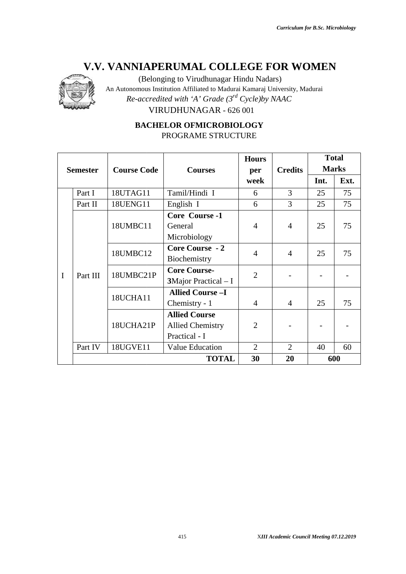

| <b>Course Code</b><br>18UTAG11<br>18UENG11<br>18UMBC11 | <b>Courses</b><br>Tamil/Hindi I<br>English I<br>Core Course -1 | per<br>week<br>6<br>6 | <b>Credits</b><br>3<br>3         | Int.<br>25<br>25 | Ext.<br>75<br>75 |  |  |
|--------------------------------------------------------|----------------------------------------------------------------|-----------------------|----------------------------------|------------------|------------------|--|--|
|                                                        |                                                                |                       |                                  |                  |                  |  |  |
|                                                        |                                                                |                       |                                  |                  |                  |  |  |
|                                                        |                                                                |                       |                                  |                  |                  |  |  |
|                                                        |                                                                |                       |                                  |                  |                  |  |  |
|                                                        | General                                                        | $\overline{4}$        | $\overline{4}$                   | 25               | 75               |  |  |
|                                                        | Microbiology                                                   |                       |                                  |                  |                  |  |  |
|                                                        | Core Course - 2                                                |                       |                                  |                  |                  |  |  |
|                                                        | Biochemistry                                                   |                       |                                  |                  | 75               |  |  |
| 18UMBC21P                                              | <b>Core Course-</b>                                            |                       |                                  |                  |                  |  |  |
|                                                        | 3Major Practical - I                                           |                       |                                  |                  |                  |  |  |
|                                                        | <b>Allied Course-I</b>                                         |                       |                                  |                  |                  |  |  |
|                                                        | Chemistry - 1                                                  | $\overline{4}$        | $\overline{4}$                   | 25               | 75               |  |  |
|                                                        | <b>Allied Course</b>                                           |                       |                                  |                  |                  |  |  |
| 18UCHA21P                                              |                                                                |                       | <b>Allied Chemistry</b>          | $\overline{2}$   |                  |  |  |
|                                                        | Practical - I                                                  |                       |                                  |                  |                  |  |  |
| 18UGVE11                                               | Value Education                                                | $\overline{2}$        | $\overline{2}$                   | 40               | 60               |  |  |
|                                                        | <b>TOTAL</b>                                                   | 30                    | 20                               |                  | 600              |  |  |
|                                                        | 18UMBC12<br>18UCHA11                                           |                       | $\overline{4}$<br>$\overline{2}$ | $\overline{4}$   | 25               |  |  |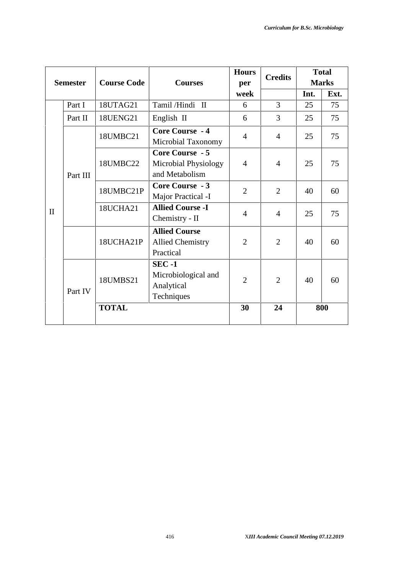|              |                 |                    |                                                                  | <b>Hours</b>   |                | <b>Total</b><br><b>Credits</b> |              |
|--------------|-----------------|--------------------|------------------------------------------------------------------|----------------|----------------|--------------------------------|--------------|
|              | <b>Semester</b> | <b>Course Code</b> | <b>Courses</b>                                                   | per            |                |                                | <b>Marks</b> |
|              |                 |                    |                                                                  | week           |                | Int.                           | Ext.         |
|              | Part I          | 18UTAG21           | Tamil/Hindi II                                                   | 6              | $\overline{3}$ | 25                             | 75           |
|              | Part II         | 18UENG21           | English II                                                       | 6              | 3              | 25                             | 75           |
|              |                 | 18UMBC21           | <b>Core Course - 4</b><br>Microbial Taxonomy                     | $\overline{4}$ | $\overline{4}$ | 25                             | 75           |
|              | Part III        | 18UMBC22           | <b>Core Course - 5</b><br>Microbial Physiology<br>and Metabolism | $\overline{4}$ | $\overline{4}$ | 25                             | 75           |
|              |                 | 18UMBC21P          | <b>Core Course - 3</b><br>Major Practical -I                     | $\overline{2}$ | $\overline{2}$ | 40                             | 60           |
| $\mathbf{I}$ |                 | 18UCHA21           | <b>Allied Course -I</b><br>Chemistry - II                        | $\overline{4}$ | $\overline{4}$ | 25                             | 75           |
|              |                 | 18UCHA21P          | <b>Allied Course</b><br><b>Allied Chemistry</b><br>Practical     | 2              | $\overline{2}$ | 40                             | 60           |
|              | Part IV         | 18UMBS21           | <b>SEC-1</b><br>Microbiological and<br>Analytical<br>Techniques  | $\overline{2}$ | $\overline{2}$ | 40                             | 60           |
|              |                 | <b>TOTAL</b>       |                                                                  | 30             | 24             |                                | 800          |
|              |                 |                    |                                                                  |                |                |                                |              |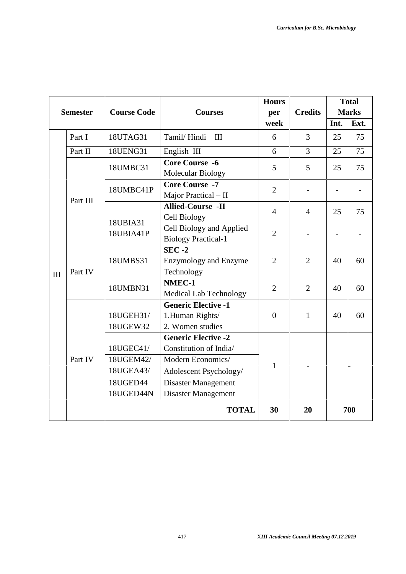|     |                 |                                                                     |                                                                                                                                                          | <b>Hours</b>   |                | <b>Total</b>   |              |
|-----|-----------------|---------------------------------------------------------------------|----------------------------------------------------------------------------------------------------------------------------------------------------------|----------------|----------------|----------------|--------------|
|     | <b>Semester</b> | <b>Course Code</b>                                                  | <b>Courses</b>                                                                                                                                           | per            | <b>Credits</b> |                | <b>Marks</b> |
|     |                 |                                                                     |                                                                                                                                                          | week           |                | Int.           | Ext.         |
|     | Part I          | 18UTAG31                                                            | Tamil/Hindi<br>III                                                                                                                                       | 6              | 3              | 25             | 75           |
|     | Part II         | 18UENG31                                                            | English III                                                                                                                                              | 6              | $\overline{3}$ | 25             | 75           |
|     |                 | 18UMBC31                                                            | <b>Core Course -6</b><br><b>Molecular Biology</b>                                                                                                        | 5              | 5              | 25             | 75           |
|     | Part III        | 18UMBC41P                                                           | <b>Core Course -7</b><br>Major Practical - II                                                                                                            | $\overline{2}$ |                |                |              |
|     |                 |                                                                     | <b>Allied-Course -II</b><br><b>Cell Biology</b>                                                                                                          | $\overline{4}$ | $\overline{4}$ | 25             | 75           |
|     |                 | 18UBIA31<br>18UBIA41P                                               | Cell Biology and Applied<br><b>Biology Practical-1</b>                                                                                                   | $\overline{2}$ |                | $\overline{a}$ |              |
| III | Part IV         | 18UMBS31                                                            | $SEC -2$<br><b>Enzymology and Enzyme</b><br>Technology                                                                                                   | $\overline{2}$ | $\overline{2}$ | 40             | 60           |
|     |                 | 18UMBN31                                                            | NMEC-1<br>Medical Lab Technology                                                                                                                         | $\overline{2}$ | $\overline{2}$ | 40             | 60           |
|     |                 | 18UGEH31/<br>18UGEW32                                               | <b>Generic Elective -1</b><br>1.Human Rights/<br>2. Women studies                                                                                        | $\overline{0}$ | $\mathbf{1}$   | 40             | 60           |
|     | Part IV         | 18UGEC41/<br>18UGEM42/<br>18UGEA43/<br><b>18UGED44</b><br>18UGED44N | <b>Generic Elective -2</b><br>Constitution of India/<br>Modern Economics/<br>Adolescent Psychology/<br><b>Disaster Management</b><br>Disaster Management | $\mathbf{1}$   |                |                |              |
|     |                 |                                                                     | <b>TOTAL</b>                                                                                                                                             | 30             | 20             |                | 700          |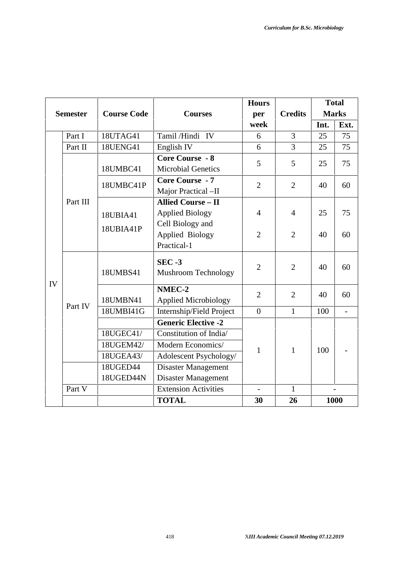|    |                 |                    |                             | <b>Hours</b>             |                |      | <b>Total</b>             |
|----|-----------------|--------------------|-----------------------------|--------------------------|----------------|------|--------------------------|
|    | <b>Semester</b> | <b>Course Code</b> | <b>Courses</b>              | per                      | <b>Credits</b> |      | <b>Marks</b>             |
|    |                 |                    |                             | week                     |                | Int. | Ext.                     |
|    | Part I          | 18UTAG41           | Tamil/Hindi IV              | 6                        | 3              | 25   | 75                       |
|    | Part II         | <b>18UENG41</b>    | English <sub>IV</sub>       | 6                        | 3              | 25   | 75                       |
|    |                 |                    | <b>Core Course - 8</b>      | 5                        | 5              | 25   | 75                       |
|    |                 | 18UMBC41           | <b>Microbial Genetics</b>   |                          |                |      |                          |
|    |                 | 18UMBC41P          | <b>Core Course - 7</b>      | $\overline{2}$           | $\overline{2}$ | 40   | 60                       |
|    |                 |                    | Major Practical -II         |                          |                |      |                          |
|    | Part III        |                    | <b>Allied Course - II</b>   |                          |                |      |                          |
|    |                 | 18UBIA41           | <b>Applied Biology</b>      | $\overline{4}$           | $\overline{4}$ | 25   | 75                       |
|    |                 | 18UBIA41P          | Cell Biology and            |                          |                |      |                          |
|    |                 |                    | Applied Biology             | $\overline{2}$           | $\overline{2}$ | 40   | 60                       |
|    |                 |                    | Practical-1                 |                          |                |      |                          |
|    |                 |                    | <b>SEC -3</b>               |                          |                |      |                          |
|    |                 | 18UMBS41           | <b>Mushroom Technology</b>  | $\overline{2}$           | $\overline{2}$ | 40   | 60                       |
| IV |                 |                    | NMEC-2                      |                          |                |      |                          |
|    |                 | 18UMBN41           | <b>Applied Microbiology</b> | $\overline{2}$           | $\overline{2}$ | 40   | 60                       |
|    | Part IV         | 18UMBI41G          | Internship/Field Project    | $\overline{0}$           | $\mathbf{1}$   | 100  | $\blacksquare$           |
|    |                 |                    | <b>Generic Elective -2</b>  |                          |                |      |                          |
|    |                 | 18UGEC41/          | Constitution of India/      |                          |                |      |                          |
|    |                 | 18UGEM42/          | Modern Economics/           | 1                        | $\mathbf{1}$   | 100  |                          |
|    |                 | 18UGEA43/          | Adolescent Psychology/      |                          |                |      |                          |
|    |                 | 18UGED44           | <b>Disaster Management</b>  |                          |                |      |                          |
|    |                 | 18UGED44N          | Disaster Management         |                          |                |      |                          |
|    | Part V          |                    | <b>Extension Activities</b> | $\overline{\phantom{a}}$ | $\mathbf{1}$   |      | $\overline{\phantom{a}}$ |
|    |                 |                    | <b>TOTAL</b>                | 30                       | 26             |      | 1000                     |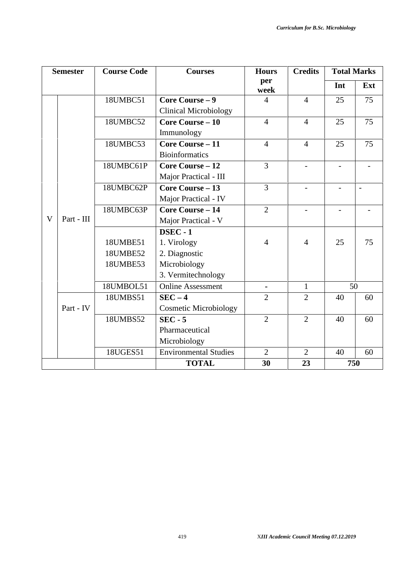| <b>Semester</b> |            | <b>Course Code</b> | <b>Courses</b>               | <b>Hours</b>   | <b>Credits</b> | <b>Total Marks</b> |                          |
|-----------------|------------|--------------------|------------------------------|----------------|----------------|--------------------|--------------------------|
|                 |            |                    |                              | per<br>week    |                | Int                | Ext                      |
|                 |            | 18UMBC51           | Core Course - 9              | $\overline{4}$ | $\overline{4}$ | 25                 | 75                       |
|                 |            |                    | <b>Clinical Microbiology</b> |                |                |                    |                          |
|                 |            | 18UMBC52           | <b>Core Course - 10</b>      | $\overline{4}$ | $\overline{4}$ | 25                 | 75                       |
|                 |            |                    | Immunology                   |                |                |                    |                          |
|                 |            | 18UMBC53           | <b>Core Course - 11</b>      | $\overline{4}$ | $\overline{4}$ | 25                 | 75                       |
|                 |            |                    | <b>Bioinformatics</b>        |                |                |                    |                          |
|                 |            | 18UMBC61P          | <b>Core Course - 12</b>      | $\overline{3}$ | $\overline{a}$ | $\sim$             |                          |
|                 |            |                    | Major Practical - III        |                |                |                    |                          |
|                 |            | 18UMBC62P          | <b>Core Course - 13</b>      | $\overline{3}$ |                |                    | $\overline{\phantom{a}}$ |
|                 |            |                    | Major Practical - IV         |                |                |                    |                          |
|                 |            | 18UMBC63P          | <b>Core Course - 14</b>      | $\overline{2}$ |                |                    |                          |
| V               | Part - III |                    | Major Practical - V          |                |                |                    |                          |
|                 |            |                    | <b>DSEC - 1</b>              |                |                |                    |                          |
|                 |            | 18UMBE51           | 1. Virology                  | $\overline{4}$ | $\overline{4}$ | 25                 | 75                       |
|                 |            | 18UMBE52           | 2. Diagnostic                |                |                |                    |                          |
|                 |            | 18UMBE53           | Microbiology                 |                |                |                    |                          |
|                 |            |                    | 3. Vermitechnology           |                |                |                    |                          |
|                 |            | 18UMBOL51          | <b>Online Assessment</b>     | $\blacksquare$ | $\mathbf{1}$   |                    | 50                       |
|                 |            | 18UMBS51           | $SEC-4$                      | $\overline{2}$ | $\overline{2}$ | 40                 | 60                       |
|                 | Part - IV  |                    | <b>Cosmetic Microbiology</b> |                |                |                    |                          |
|                 |            | 18UMBS52           | $SEC - 5$                    | $\overline{2}$ | $\overline{2}$ | 40                 | 60                       |
|                 |            |                    | Pharmaceutical               |                |                |                    |                          |
|                 |            |                    | Microbiology                 |                |                |                    |                          |
|                 |            | 18UGES51           | <b>Environmental Studies</b> | $\overline{2}$ | $\overline{2}$ | 40                 | 60                       |
|                 |            |                    | <b>TOTAL</b>                 | 30             | 23             |                    | 750                      |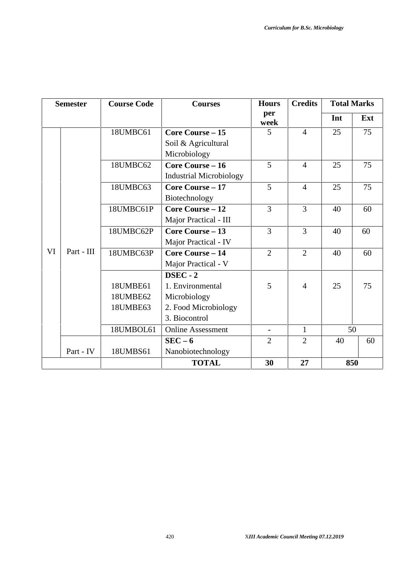| <b>Semester</b>  | <b>Course Code</b> | <b>Courses</b>                 | <b>Hours</b>   | <b>Credits</b> |     | <b>Total Marks</b> |
|------------------|--------------------|--------------------------------|----------------|----------------|-----|--------------------|
|                  |                    |                                | per<br>week    |                | Int | Ext                |
|                  | 18UMBC61           | Core Course $-15$              | 5              | $\overline{4}$ | 25  | 75                 |
|                  |                    | Soil & Agricultural            |                |                |     |                    |
|                  |                    | Microbiology                   |                |                |     |                    |
|                  | 18UMBC62           | <b>Core Course - 16</b>        | 5              | $\overline{4}$ | 25  | 75                 |
|                  |                    | <b>Industrial Microbiology</b> |                |                |     |                    |
|                  | 18UMBC63           | <b>Core Course - 17</b>        | 5              | $\overline{4}$ | 25  | 75                 |
|                  |                    | Biotechnology                  |                |                |     |                    |
|                  | 18UMBC61P          | <b>Core Course - 12</b>        | 3              | 3              | 40  | 60                 |
|                  |                    | Major Practical - III          |                |                |     |                    |
|                  | 18UMBC62P          | <b>Core Course – 13</b>        | 3              | 3              | 40  | 60                 |
|                  |                    | Major Practical - IV           |                |                |     |                    |
| VI<br>Part - III | 18UMBC63P          | <b>Core Course - 14</b>        | $\overline{2}$ | $\overline{2}$ | 40  | 60                 |
|                  |                    | Major Practical - V            |                |                |     |                    |
|                  |                    | DSEC - 2                       |                |                |     |                    |
|                  | 18UMBE61           | 1. Environmental               | 5              | $\overline{4}$ | 25  | 75                 |
|                  | 18UMBE62           | Microbiology                   |                |                |     |                    |
|                  | 18UMBE63           | 2. Food Microbiology           |                |                |     |                    |
|                  |                    | 3. Biocontrol                  |                |                |     |                    |
|                  | 18UMBOL61          | <b>Online Assessment</b>       | $\blacksquare$ | $\mathbf{1}$   |     | 50                 |
|                  |                    | $SEC - 6$                      | $\overline{2}$ | $\overline{2}$ | 40  | 60                 |
| Part - IV        | 18UMBS61           | Nanobiotechnology              |                |                |     |                    |
|                  |                    | <b>TOTAL</b>                   | 30             | 27             |     | 850                |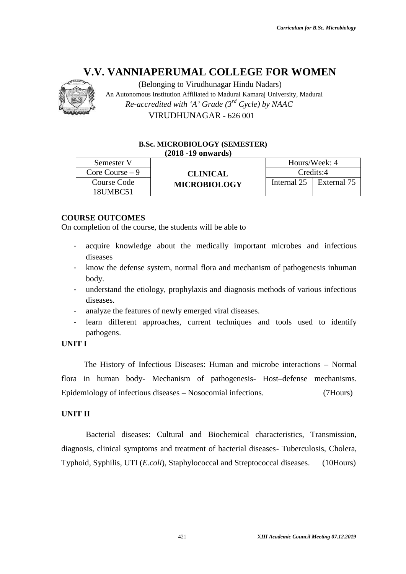

#### **(2018 -19 onwards)**

|                                                                                        | <b>B.Sc. MICROBIOLOGY (SEMESTER)</b><br>$(2018 - 19)$ onwards)                                                                                                                                                                                                                                        |             |               |
|----------------------------------------------------------------------------------------|-------------------------------------------------------------------------------------------------------------------------------------------------------------------------------------------------------------------------------------------------------------------------------------------------------|-------------|---------------|
| Semester V                                                                             |                                                                                                                                                                                                                                                                                                       |             | Hours/Week: 4 |
| Core Course $-9$                                                                       | <b>CLINICAL</b>                                                                                                                                                                                                                                                                                       |             | Credits:4     |
| Course Code<br>18UMBC51                                                                | <b>MICROBIOLOGY</b>                                                                                                                                                                                                                                                                                   | Internal 25 | External 75   |
| body.<br>$\blacksquare$<br>diseases.<br>$\overline{\phantom{a}}$<br>pathogens.<br>I TI | know the defense system, normal flora and mechanism of pathogenesis inhuman<br>understand the etiology, prophylaxis and diagnosis methods of various infectious<br>analyze the features of newly emerged viral diseases.<br>learn different approaches, current techniques and tools used to identify |             |               |
|                                                                                        | The History of Infectious Diseases: Human and microbe interactions – Normal                                                                                                                                                                                                                           |             |               |
|                                                                                        | ra in human body- Mechanism of pathogenesis- Host-defense mechanisms.                                                                                                                                                                                                                                 |             |               |
|                                                                                        | idemiology of infectious diseases – Nosocomial infections.                                                                                                                                                                                                                                            |             | (7Hours)      |
| II TI                                                                                  |                                                                                                                                                                                                                                                                                                       |             |               |
|                                                                                        | Bacterial diseases: Cultural and Biochemical characteristics, Transmission,                                                                                                                                                                                                                           |             |               |
|                                                                                        |                                                                                                                                                                                                                                                                                                       |             |               |
|                                                                                        | gnosis, clinical symptoms and treatment of bacterial diseases- Tuberculosis, Cholera,<br>phoid, Syphilis, UTI ( <i>E.coli</i> ), Staphylococcal and Streptococcal diseases.                                                                                                                           |             | $(10$ Hours)  |

# **COURSE OUTCOMES**

On completion of the course, the students will be able to

- completion of the course, the students will be able to<br>- acquire knowledge about the medically important microbes and infectious diseases
- know the defense system, normal flora and mechanism of pathogenesis inhuman body.
- understand the etiology, prophylaxis and diagnosis methods of various infectious diseases.
- analyze the features of newly emerged viral diseases.
- learn different approaches, current techniques and tools used to identify pathogens.

#### **UNIT I**

# **UNIT II**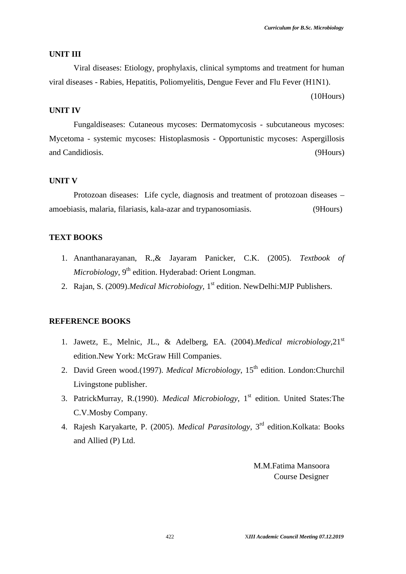#### **UNIT III**

Viral diseases: Etiology, prophylaxis, clinical symptoms and treatment for human viral diseases - Rabies, Hepatitis, Poliomyelitis, Dengue Fever and Flu Fever (H1N1).

(10Hours)

# **UNIT IV**

Fungaldiseases: Cutaneous mycoses: Dermatomycosis - subcutaneous mycoses: Mycetoma - systemic mycoses: Histoplasmosis - Opportunistic mycoses: Aspergillosis and Candidiosis. (9Hours)

## **UNIT V**

Protozoan diseases: Life cycle, diagnosis and treatment of protozoan diseases – amoebiasis, malaria, filariasis, kala-azar and trypanosomiasis. (9Hours)

# **TEXT BOOKS**

- 1. Ananthanarayanan, R.,& Jayaram Panicker, C.K. (2005). *Textbook of Microbiology*, 9 th edition. Hyderabad: Orient Longman.
- 2. Rajan, S. (2009).*Medical Microbiology,* 1 st edition. NewDelhi:MJP Publishers.

## **REFERENCE BOOKS**

- 1. Jawetz, E., Melnic, JL., & Adelberg, EA. (2004).*Medical microbiology,*21st edition.New York: McGraw Hill Companies.
- 2. David Green wood.(1997). *Medical Microbiology*, 15th edition. London:Churchil Livingstone publisher.
- 3. PatrickMurray, R.(1990). *Medical Microbiology*, 1 st edition. United States:The C.V.Mosby Company.
- 4. Rajesh Karyakarte, P. (2005). *Medical Parasitology*, 3 rd edition.Kolkata: Books and Allied (P) Ltd.

M.M.Fatima Mansoora Course Designer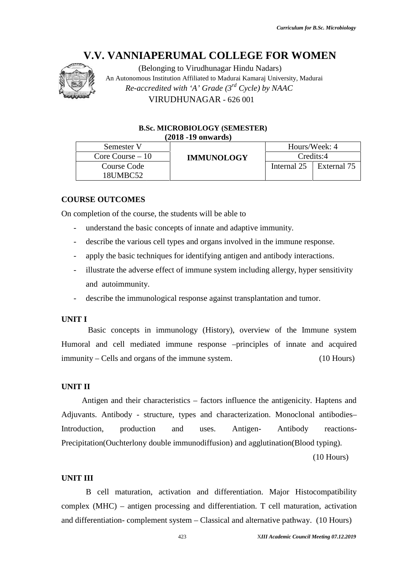

(Belonging to Virudhunagar Hindu Nadars) An Autonomous Institution Affiliated to Madurai Kamaraj University, Madurai *Re-accredited with 'A' Grade (3rd Cycle) by NAAC* VIRUDHUNAGAR - 626 001

#### **B.Sc. MICROBIOLOGY (SEMESTER) (2018 -19 onwards)**

| Semester V        |                   |               | Hours/Week: 4 |  |
|-------------------|-------------------|---------------|---------------|--|
| Core Course $-10$ | <b>IMMUNOLOGY</b> | $C$ redits:4  |               |  |
| Course Code       |                   | Internal $25$ | External 75   |  |
| 18UMBC52          |                   |               |               |  |

# **COURSE OUTCOMES**

On completion of the course, the students will be able to

- understand the basic concepts of innate and adaptive immunity.
- describe the various cell types and organs involved in the immune response.
- apply the basic techniques for identifying antigen and antibody interactions.
- illustrate the adverse effect of immune system including allergy, hyper sensitivity and autoimmunity.
- describe the immunological response against transplantation and tumor.

#### **UNIT I**

Basic concepts in immunology (History), overview of the Immune system Humoral and cell mediated immune response –principles of innate and acquired immunity – Cells and organs of the immune system. (10 Hours)

# **UNIT II**

Antigen and their characteristics – factors influence the antigenicity. Haptens and Adjuvants. Antibody - structure, types and characterization. Monoclonal antibodies– Introduction, production and uses. Antigen- Antibody reactions- Precipitation(Ouchterlony double immunodiffusion) and agglutination(Blood typing). V.V. VANNIAPERUMAL COLLEGE FOR WOMEN<br>
An Annonymons including to Virudhungent Hindu Nadara)<br>
An Annonymons including An Virudhungent Hindu Nadara)<br>
An Annonymons including Alfaction (3<sup>26</sup> Oxie) by NAAC<br>
B.C. MCROBIOLOGY

(10 Hours)

#### **UNIT III**

B cell maturation, activation and differentiation. Major Histocompatibility complex (MHC) – antigen processing and differentiation. T cell maturation, activation and differentiation- complement system – Classical and alternative pathway. (10 Hours)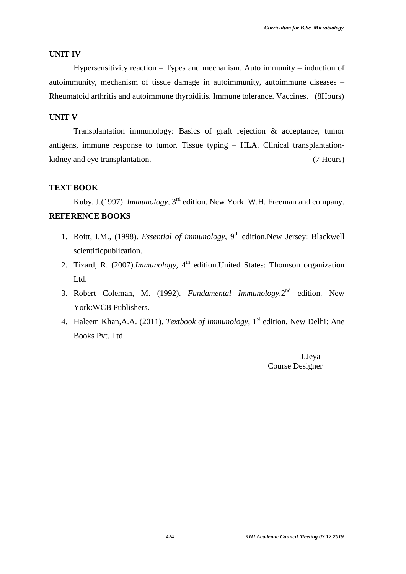#### **UNIT IV**

Hypersensitivity reaction – Types and mechanism. Auto immunity – induction of autoimmunity, mechanism of tissue damage in autoimmunity, autoimmune diseases – Rheumatoid arthritis and autoimmune thyroiditis. Immune tolerance. Vaccines. (8Hours)

# **UNIT V**

Transplantation immunology: Basics of graft rejection & acceptance, tumor antigens, immune response to tumor. Tissue typing – HLA. Clinical transplantation kidney and eye transplantation. (7 Hours)

## **TEXT BOOK**

Kuby, J.(1997). *Immunology*, 3<sup>rd</sup> edition. New York: W.H. Freeman and company. **REFERENCE BOOKS**

- 1. Roitt, I.M., (1998). *Essential of immunology*, 9<sup>th</sup> edition.New Jersey: Blackwell scientificpublication.
- 2. Tizard, R. (2007).*Immunology,* 4 th edition.United States: Thomson organization Ltd.
- 3. Robert Coleman, M. (1992). *Fundamental Immunology,*2 nd edition. New York:WCB Publishers.
- 4. Haleem Khan,A.A. (2011). *Textbook of Immunology*, 1 st edition. New Delhi: Ane Books Pvt. Ltd.

J.Jeya Course Designer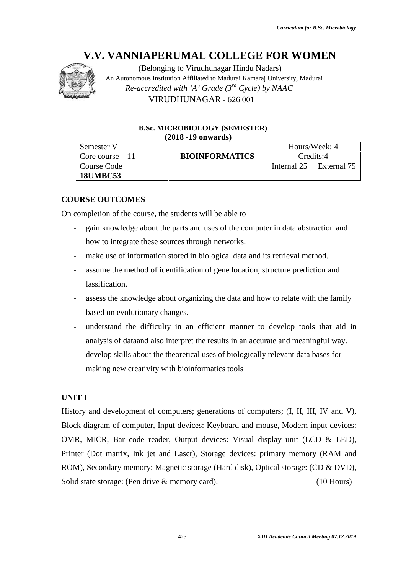

(Belonging to Virudhunagar Hindu Nadars) An Autonomous Institution Affiliated to Madurai Kamaraj University, Madurai *Re-accredited with 'A' Grade (3rd Cycle) by NAAC* VIRUDHUNAGAR - 626 001

# **B.Sc. MICROBIOLOGY (SEMESTER) (2018 -19 onwards)**

| Semester V        |                       |               | Hours/Week: 4 |  |
|-------------------|-----------------------|---------------|---------------|--|
| Core course $-11$ | <b>BIOINFORMATICS</b> | Credits:4     |               |  |
| Course Code       |                       | Internal $25$ | External 75   |  |
| <b>18UMBC53</b>   |                       |               |               |  |

# **COURSE OUTCOMES**

On completion of the course, the students will be able to

- gain knowledge about the parts and uses of the computer in data abstraction and how to integrate these sources through networks.
- make use of information stored in biological data and its retrieval method.
- assume the method of identification of gene location, structure prediction and lassification.
- assess the knowledge about organizing the data and how to relate with the family based on evolutionary changes.
- understand the difficulty in an efficient manner to develop tools that aid in analysis of dataand also interpret the results in an accurate and meaningful way.
- develop skills about the theoretical uses of biologically relevant data bases for making new creativity with bioinformatics tools the difficulty in an efficient manner<br>dataand also interpret the results in an ac<br>ills about the theoretical uses of biologica<br>w creativity with bioinformatics tools<br>opment of computers; generations of con-<br>computer, Input

# **UNIT I**

History and development of computers; generations of computers; (I, II, III, IV and V), Block diagram of computer, Input devices: Keyboard and mouse, Modern input devices: OMR, MICR, Bar code reader, Output devices: Visual display unit (LCD & LED), Printer (Dot matrix, Ink jet and Laser), Storage devices: primary memory (RAM and ROM), Secondary memory: Magnetic storage (Hard disk), Optical storage: (CD & DVD), Solid state storage: (Pen drive & memory card). (10 Hours) V.V. VANIMENT COLLEGE FOR WOMEN<br>
ANNIMENT COLLEGE FOR WOMEN<br>
AN Admostration (Relonging to Vinndhumager Hindu Nadars)<br>
An Admostration Annihinatin Walkers (Firstnerig University, Madara<br>
Re-accordingly and Maximum Scales - understand the difficulty in an efficient manner to develop tools that aid in analysis of dataand also interpret the results in an accurate and meaningful way.<br>
- develop skills about the theoretical uses of biologicall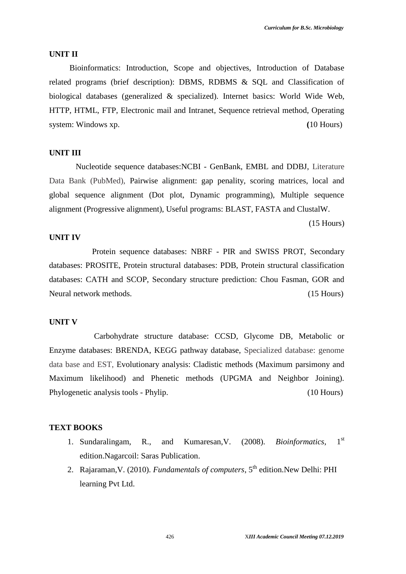#### **UNIT II**

Bioinformatics: Introduction, Scope and objectives, Introduction of Database related programs (brief description): DBMS, RDBMS & SQL and Classification of biological databases (generalized & specialized). Internet basics: World Wide Web, HTTP, HTML, FTP, Electronic mail and Intranet, Sequence retrieval method, Operating system: Windows xp. **(10 Hours)** (10 Hours)

# **UNIT III**

Nucleotide sequence databases:NCBI - GenBank, EMBL and DDBJ, Literature Data Bank (PubMed), Pairwise alignment: gap penality, scoring matrices, local and global sequence alignment (Dot plot, Dynamic programming), Multiple sequence alignment (Progressive alignment), Useful programs: BLAST, FASTA and ClustalW.

(15 Hours)

# **UNIT IV**

Protein sequence databases: NBRF - PIR and SWISS PROT, Secondary databases: PROSITE, Protein structural databases: PDB, Protein structural classification databases: CATH and SCOP, Secondary structure prediction: Chou Fasman, GOR and Neural network methods. (15 Hours)

#### **UNIT V**

Carbohydrate structure database: CCSD, Glycome DB, Metabolic or Enzyme databases: BRENDA, KEGG pathway database, Specialized database: genome data base and EST, Evolutionary analysis: Cladistic methods (Maximum parsimony and Maximum likelihood) and Phenetic methods (UPGMA and Neighbor Joining). Phylogenetic analysis tools - Phylip. (10 Hours)

#### **TEXT BOOKS**

- 1. Sundaralingam, R., and Kumaresan,V. (2008). *Bioinformatics*, 1st edition.Nagarcoil: Saras Publication.
- 2. Rajaraman, V. (2010). *Fundamentals of computers*, 5<sup>th</sup> edition. New Delhi: PHI learning Pvt Ltd.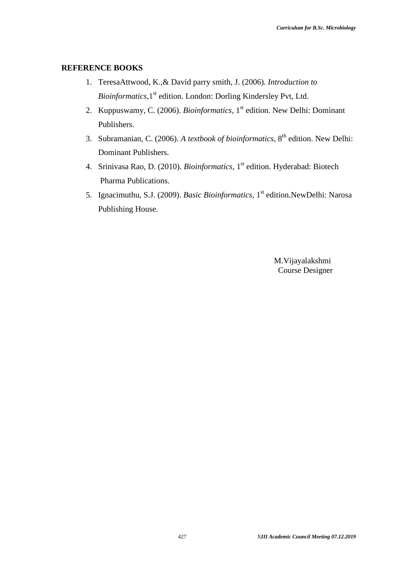## **REFERENCE BOOKS**

- 1. TeresaAttwood, K.,& David parry smith, J. (2006). *Introduction to* Bioinformatics, 1<sup>st</sup> edition. London: Dorling Kindersley Pvt, Ltd.
- 2. Kuppuswamy, C. (2006). *Bioinformatics*, 1<sup>st</sup> edition. New Delhi: Dominant Publishers.
- 3. Subramanian, C. (2006). *A textbook of bioinformatics*, 8<sup>th</sup> edition. New Delhi: Dominant Publishers.
- 4. Srinivasa Rao, D. (2010). *Bioinformatics*, 1<sup>st</sup> edition. Hyderabad: Biotech Pharma Publications.
- 5. Ignacimuthu, S.J. (2009). *Basic Bioinformatics*, 1st edition.NewDelhi: Narosa Publishing House.

M.Vijayalakshmi Course Designer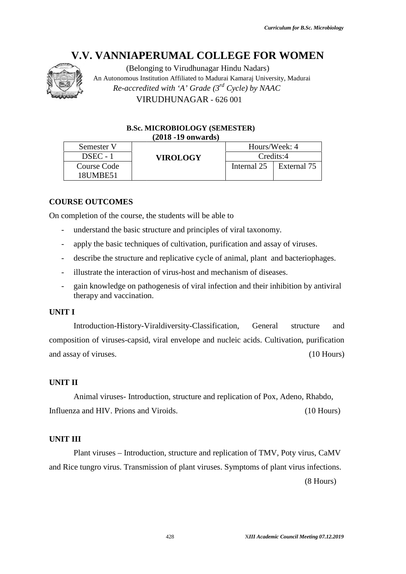

#### **B.Sc. MICROBIOLOGY (SEMESTER) (2018 -19 onwards)**

|                          |                                    | V.V. VANNIAPERUMAL COLLEGE FOR WOMEN                                                                                                                                             |             |                                          |              |
|--------------------------|------------------------------------|----------------------------------------------------------------------------------------------------------------------------------------------------------------------------------|-------------|------------------------------------------|--------------|
|                          |                                    | (Belonging to Virudhunagar Hindu Nadars)<br>An Autonomous Institution Affiliated to Madurai Kamaraj University, Madurai<br>Re-accredited with 'A' Grade $(3^{rd}$ Cycle) by NAAC |             |                                          |              |
|                          |                                    | VIRUDHUNAGAR - 626 001                                                                                                                                                           |             |                                          |              |
|                          |                                    |                                                                                                                                                                                  |             |                                          |              |
|                          |                                    | <b>B.Sc. MICROBIOLOGY (SEMESTER)</b><br>$(2018 - 19)$ onwards)                                                                                                                   |             |                                          |              |
|                          | Semester V                         |                                                                                                                                                                                  |             | Hours/Week: 4                            |              |
|                          | DSEC - 1                           | <b>VIROLOGY</b>                                                                                                                                                                  |             | Credits:4                                |              |
|                          | <b>Course Code</b><br>18UMBE51     |                                                                                                                                                                                  | Internal 25 | External 75                              |              |
|                          |                                    |                                                                                                                                                                                  |             |                                          |              |
|                          | <b>URSE OUTCOMES</b>               |                                                                                                                                                                                  |             |                                          |              |
|                          |                                    | completion of the course, the students will be able to                                                                                                                           |             |                                          |              |
| $\overline{\phantom{a}}$ |                                    | understand the basic structure and principles of viral taxonomy.                                                                                                                 |             |                                          |              |
| $\overline{\phantom{0}}$ |                                    | apply the basic techniques of cultivation, purification and assay of viruses.                                                                                                    |             |                                          |              |
| $\overline{\phantom{0}}$ |                                    | describe the structure and replicative cycle of animal, plant and bacteriophages.                                                                                                |             |                                          |              |
| $\overline{\phantom{a}}$ |                                    | illustrate the interaction of virus-host and mechanism of diseases.                                                                                                              |             |                                          |              |
| $\overline{a}$           | therapy and vaccination.           | gain knowledge on pathogenesis of viral infection and their inhibition by antiviral                                                                                              |             |                                          |              |
| IT I                     |                                    |                                                                                                                                                                                  |             |                                          |              |
|                          |                                    | Introduction-History-Viraldiversity-Classification,                                                                                                                              | General     | structure                                | and          |
|                          |                                    | aposition of viruses-capsid, viral envelope and nucleic acids. Cultivation, purification                                                                                         |             |                                          |              |
|                          | assay of viruses.                  |                                                                                                                                                                                  |             |                                          | $(10$ Hours) |
|                          |                                    |                                                                                                                                                                                  |             |                                          |              |
| IT II                    |                                    |                                                                                                                                                                                  |             |                                          |              |
|                          |                                    | Animal viruses-Introduction, structure and replication of Pox, Adeno, Rhabdo,                                                                                                    |             |                                          |              |
|                          | uenza and HIV. Prions and Viroids. |                                                                                                                                                                                  |             |                                          | $(10$ Hours) |
|                          |                                    |                                                                                                                                                                                  |             |                                          |              |
|                          | IT III                             |                                                                                                                                                                                  |             |                                          |              |
|                          |                                    | Plant viruses – Introduction, structure and replication of TMV, Poty virus, CaMV                                                                                                 |             |                                          |              |
|                          |                                    | Rice tungro virus. Transmission of plant viruses. Symptoms of plant virus infections.                                                                                            |             |                                          |              |
|                          |                                    |                                                                                                                                                                                  |             | $(8$ Hours)                              |              |
|                          |                                    |                                                                                                                                                                                  |             |                                          |              |
|                          |                                    |                                                                                                                                                                                  |             |                                          |              |
|                          |                                    |                                                                                                                                                                                  |             |                                          |              |
|                          |                                    | 428                                                                                                                                                                              |             | XIII Academic Council Meeting 07.12.2019 |              |

# **COURSE OUTCOMES**

On completion of the course, the students will be able to

- understand the basic structure and principles of viral taxonomy.
- apply the basic techniques of cultivation, purification and assay of viruses.
- describe the structure and replicative cycle of animal, plant and bacteriophages.
- illustrate the interaction of virus-host and mechanism of diseases.
- gain knowledge on pathogenesis of viral infection and their inhibition by antiviral therapy and vaccination.

# **UNIT I**

# **UNIT II**

# **UNIT III**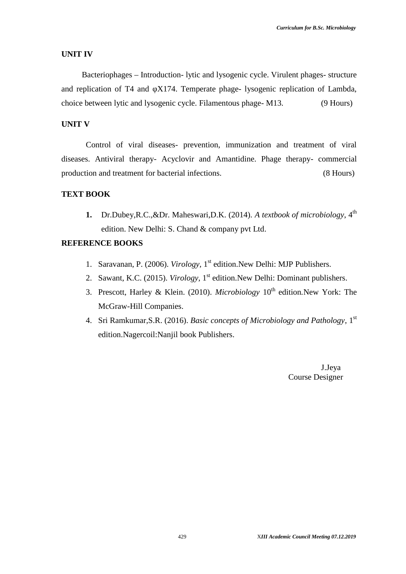## **UNIT IV**

Bacteriophages – Introduction- lytic and lysogenic cycle. Virulent phages- structure and replication of T4 and X174. Temperate phage- lysogenic replication of Lambda, choice between lytic and lysogenic cycle. Filamentous phage- M13. (9 Hours)

# **UNIT V**

Control of viral diseases- prevention, immunization and treatment of viral diseases. Antiviral therapy- Acyclovir and Amantidine. Phage therapy- commercial production and treatment for bacterial infections. (8 Hours)

# **TEXT BOOK**

**1.** Dr.Dubey,R.C.,&Dr. Maheswari,D.K. (2014). *A textbook of microbiology*, 4th edition. New Delhi: S. Chand & company pvt Ltd.

# **REFERENCE BOOKS**

- 1. Saravanan, P. (2006). *Virology*, 1<sup>st</sup> edition. New Delhi: MJP Publishers.
- 2. Sawant, K.C. (2015). *Virology*, 1<sup>st</sup> edition. New Delhi: Dominant publishers.
- 3. Prescott, Harley & Klein. (2010). *Microbiology* 10th edition*.*New York: The McGraw-Hill Companies.
- 4. Sri Ramkumar,S.R. (2016). *Basic concepts of Microbiology and Pathology*, 1st edition.Nagercoil:Nanjil book Publishers.

J.Jeya Course Designer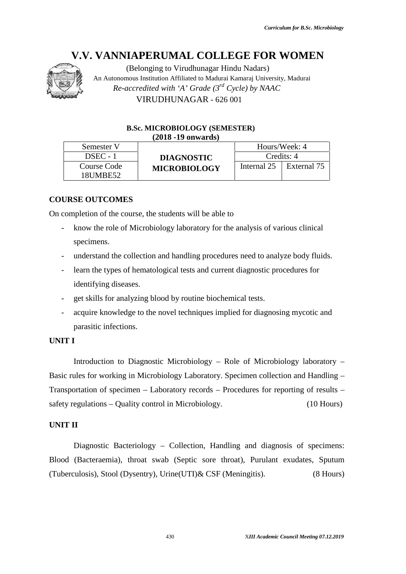

(Belonging to Virudhunagar Hindu Nadars) An Autonomous Institution Affiliated to Madurai Kamaraj University, Madurai *Re-accredited with 'A' Grade (3rd Cycle) by NAAC* VIRUDHUNAGAR - 626 001

#### **B.Sc. MICROBIOLOGY (SEMESTER) (2018 -19 onwards)**

| Semester V  |                     | Hours/Week: 4 |             |
|-------------|---------------------|---------------|-------------|
| $DSEC - 1$  | <b>DIAGNOSTIC</b>   |               | Credits: 4  |
| Course Code | <b>MICROBIOLOGY</b> | Internal 25   | External 75 |
| 18UMBE52    |                     |               |             |

# **COURSE OUTCOMES**

On completion of the course, the students will be able to

- know the role of Microbiology laboratory for the analysis of various clinical specimens.
- understand the collection and handling procedures need to analyze body fluids.
- learn the types of hematological tests and current diagnostic procedures for identifying diseases.
- get skills for analyzing blood by routine biochemical tests.
- acquire knowledge to the novel techniques implied for diagnosing mycotic and parasitic infections.

# **UNIT I**

Introduction to Diagnostic Microbiology – Role of Microbiology laboratory – Basic rules for working in Microbiology Laboratory. Specimen collection and Handling – Transportation of specimen – Laboratory records – Procedures for reporting of results – safety regulations – Quality control in Microbiology. (10 Hours) V.V. VANNIAPPRUMAL. COLLEGE FOR WOMEN<br>
(allowing to Virudhamage Hindu Natario)<br>
An Americannia (Mathematic Wellin Wathematic Prince (Newton) (Newton)<br>
An Americannia (Newton) Affiniate in Mathematic Prince (Newton)<br>
(REDE

# **UNIT II**

Diagnostic Bacteriology – Collection, Handling and diagnosis of specimens: Blood (Bacteraemia), throat swab (Septic sore throat), Purulant exudates, Sputum (Tuberculosis), Stool (Dysentry), Urine(UTI)& CSF (Meningitis). (8 Hours)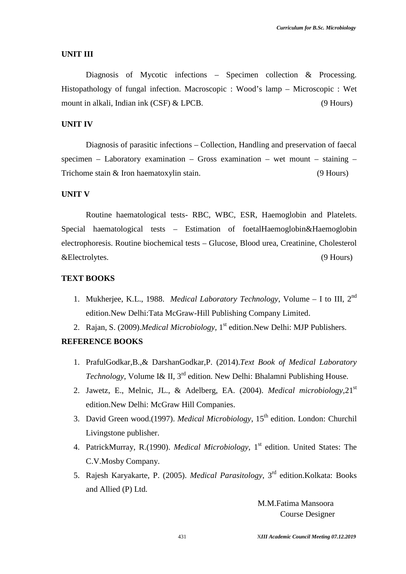#### **UNIT III**

Diagnosis of Mycotic infections – Specimen collection & Processing. Histopathology of fungal infection. Macroscopic : Wood's lamp – Microscopic : Wet mount in alkali, Indian ink (CSF) & LPCB. (9 Hours)

# **UNIT IV**

Diagnosis of parasitic infections – Collection, Handling and preservation of faecal specimen – Laboratory examination – Gross examination – wet mount – staining – Trichome stain & Iron haematoxylin stain. (9 Hours)

# **UNIT V**

Routine haematological tests- RBC, WBC, ESR, Haemoglobin and Platelets. Special haematological tests – Estimation of foetalHaemoglobin&Haemoglobin electrophoresis. Routine biochemical tests – Glucose, Blood urea, Creatinine, Cholesterol &Electrolytes. (9 Hours)

# **TEXT BOOKS**

- 1. Mukherjee, K.L., 1988. *Medical Laboratory Technology*, Volume I to III, 2<sup>nd</sup> edition.New Delhi:Tata McGraw-Hill Publishing Company Limited.
- 2. Rajan, S. (2009).*Medical Microbiology,* 1 st edition.New Delhi: MJP Publishers.

#### **REFERENCE BOOKS**

- 1. PrafulGodkar,B.,& DarshanGodkar,P. (2014).*Text Book of Medical Laboratory Technology*, Volume I& II, 3<sup>rd</sup> edition. New Delhi: Bhalamni Publishing House.
- 2. Jawetz, E., Melnic, JL., & Adelberg, EA. (2004). *Medical microbiology,*21st edition.New Delhi: McGraw Hill Companies.
- 3. David Green wood.(1997). *Medical Microbiology*, 15th edition. London: Churchil Livingstone publisher.
- 4. PatrickMurray, R.(1990). *Medical Microbiology*, 1<sup>st</sup> edition. United States: The C.V.Mosby Company.
- 5. Rajesh Karyakarte, P. (2005). *Medical Parasitology*, 3 rd edition.Kolkata: Books and Allied (P) Ltd.

M.M.Fatima Mansoora Course Designer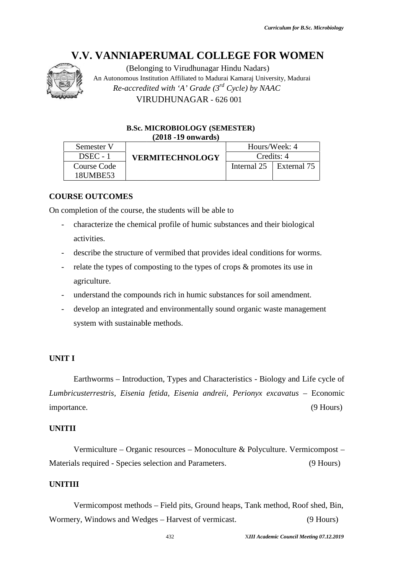

#### **B.Sc. MICROBIOLOGY (SEMESTER) (2018 -19 onwards)**

|                                  | <b>V.V. VANNIAPERUMAL COLLEGE FOR WOMEN</b><br>(Belonging to Virudhunagar Hindu Nadars) |             |                                          |
|----------------------------------|-----------------------------------------------------------------------------------------|-------------|------------------------------------------|
|                                  | An Autonomous Institution Affiliated to Madurai Kamaraj University, Madurai             |             |                                          |
|                                  | Re-accredited with 'A' Grade (3rd Cycle) by NAAC                                        |             |                                          |
|                                  | VIRUDHUNAGAR - 626 001                                                                  |             |                                          |
|                                  |                                                                                         |             |                                          |
|                                  | <b>B.Sc. MICROBIOLOGY (SEMESTER)</b><br>$(2018 - 19)$ onwards)                          |             |                                          |
| Semester V                       |                                                                                         |             | Hours/Week: 4                            |
| DSEC - 1                         | <b>VERMITECHNOLOGY</b>                                                                  | Internal 25 | Credits: 4<br>External 75                |
| <b>Course Code</b><br>18UMBE53   |                                                                                         |             |                                          |
| <b>URSE OUTCOMES</b>             |                                                                                         |             |                                          |
|                                  | completion of the course, the students will be able to                                  |             |                                          |
|                                  | characterize the chemical profile of humic substances and their biological              |             |                                          |
| activities.                      |                                                                                         |             |                                          |
|                                  | describe the structure of vermibed that provides ideal conditions for worms.            |             |                                          |
|                                  | relate the types of composting to the types of crops & promotes its use in              |             |                                          |
| agriculture.                     |                                                                                         |             |                                          |
|                                  | understand the compounds rich in humic substances for soil amendment.                   |             |                                          |
|                                  | develop an integrated and environmentally sound organic waste management                |             |                                          |
| system with sustainable methods. |                                                                                         |             |                                          |
|                                  |                                                                                         |             |                                          |
| $\mathbf{T}$ $\mathbf{I}$        |                                                                                         |             |                                          |
|                                  |                                                                                         |             |                                          |
|                                  | Earthworms – Introduction, Types and Characteristics - Biology and Life cycle of        |             |                                          |
|                                  | ibricusterrestris, Eisenia fetida, Eisenia andreii, Perionyx excavatus – Economic       |             |                                          |
| ortance.                         |                                                                                         |             | $(9$ Hours)                              |
| <b>TIT</b>                       |                                                                                         |             |                                          |
|                                  | Vermiculture – Organic resources – Monoculture & Polyculture. Vermicompost –            |             |                                          |
|                                  | erials required - Species selection and Parameters.                                     |             | $(9$ Hours)                              |
|                                  |                                                                                         |             |                                          |
| TIII                             |                                                                                         |             |                                          |
|                                  | Vermicompost methods – Field pits, Ground heaps, Tank method, Roof shed, Bin,           |             |                                          |
|                                  | mery, Windows and Wedges – Harvest of vermicast.                                        |             | $(9$ Hours)                              |
|                                  | 432                                                                                     |             | XIII Academic Council Meeting 07.12.2019 |

# **COURSE OUTCOMES**

On completion of the course, the students will be able to

- characterize the chemical profile of humic substances and their biological activities.
- describe the structure of vermibed that provides ideal conditions for worms.
- relate the types of composting to the types of crops & promotes its use in agriculture.
- understand the compounds rich in humic substances for soil amendment.
- develop an integrated and environmentally sound organic waste management system with sustainable methods.

#### **UNIT I**

# **UNITII**

Vermiculture – Organic resources – Monoculture & Polyculture. Vermicompost – Materials required - Species selection and Parameters. (9 Hours) lls required - Species selection and Parameters. (9 Hours)<br>
II<br>Vermicompost methods – Field pits, Ground heaps, Tank method, Roof shed, Bin,

# **UNITIII**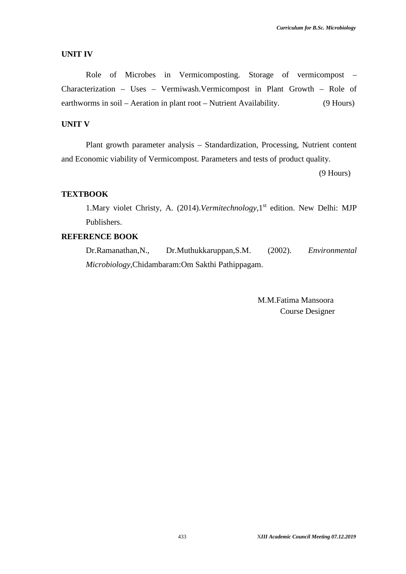#### **UNIT IV**

Role of Microbes in Vermicomposting. Storage of vermicompost – Characterization – Uses – Vermiwash.Vermicompost in Plant Growth – Role of earthworms in soil – Aeration in plant root – Nutrient Availability. (9 Hours)

# **UNIT V**

Plant growth parameter analysis – Standardization, Processing, Nutrient content and Economic viability of Vermicompost. Parameters and tests of product quality.

(9 Hours)

# **TEXTBOOK**

1. Mary violet Christy, A. (2014). *Vermitechnology*, 1<sup>st</sup> edition. New Delhi: MJP Publishers.

# **REFERENCE BOOK**

Dr.Ramanathan,N., Dr.Muthukkaruppan,S.M. (2002). *Environmental Microbiology,*Chidambaram:Om Sakthi Pathippagam.

> M.M.Fatima Mansoora Course Designer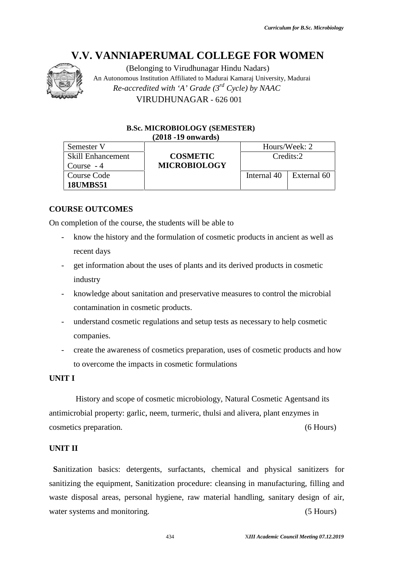

(Belonging to Virudhunagar Hindu Nadars) An Autonomous Institution Affiliated to Madurai Kamaraj University, Madurai *Re-accredited with 'A' Grade (3rd Cycle) by NAAC* VIRUDHUNAGAR - 626 001

#### **B.Sc. MICROBIOLOGY (SEMESTER) (2018 -19 onwards)**

| Semester V               |                     |               | Hours/Week: 2 |
|--------------------------|---------------------|---------------|---------------|
| <b>Skill Enhancement</b> | <b>COSMETIC</b>     |               | Credits:2     |
| Course $-4$              | <b>MICROBIOLOGY</b> |               |               |
| Course Code              |                     | Internal $40$ | External 60   |
| <b>18UMBS51</b>          |                     |               |               |

#### **COURSE OUTCOMES**

On completion of the course, the students will be able to

- completion of the course, the students will be able to<br>- know the history and the formulation of cosmetic products in ancient as well as recent days
- get information about the uses of plants and its derived products in cosmetic industry industry
- knowledge about sanitation and preservative measures to control the microbial contamination in cosmetic products.
- understand cosmetic regulations and setup tests as necessary to help cosmetic companies.
- create the awareness of cosmetics preparation, uses of cosmetic products and how to overcome the impacts in cosmetic formulations

# **UNIT I**

History and scope of cosmetic microbiology, Natural Cosmetic Agentsand its antimicrobial property: garlic, neem, turmeric, thulsi and alivera, plant enzymes in cosmetics preparation. (6 Hours)

# **UNIT II**

**S**anitization basics: detergents, surfactants, chemical and physical sanitizers for sanitizing the equipment, Sanitization procedure: cleansing in manufacturing, filling and waste disposal areas, personal hygiene, raw material handling, sanitary design of air, water systems and monitoring. (5 Hours) **IV.V. VANNIAPERUMAL COLLEGE FOR WOMENT THE CONDUCT AND THE CONDUCT AND CHOUSE THE CONDUCT CONDUCT AND CONDUCT CONDUCT THE CONDUCT CONDUCT CONDUCT CONDUCT CONDUCT CONDUCT CONDUCT CONDUCT CONDUCT CONDUCT CONDUCT CONDUCT CO** - knowledge about sanitation and preservative measures to control the microbial<br>
contamination in cosmetic products.<br>
- understand cosmetic regulations and setup tests as necessary to help cosmetic<br>
companies.<br>
- create th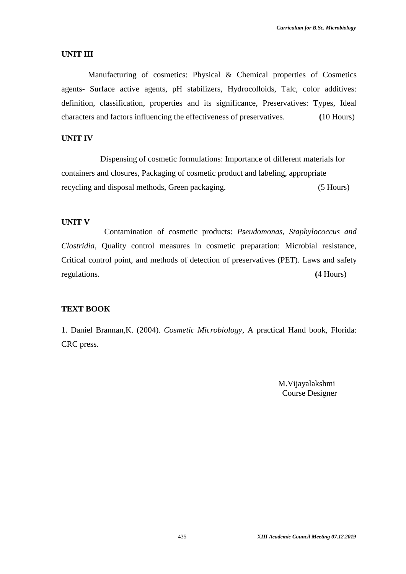#### **UNIT III**

Manufacturing of cosmetics: Physical & Chemical properties of Cosmetics agents- Surface active agents, pH stabilizers, Hydrocolloids, Talc, color additives: definition, classification, properties and its significance, Preservatives: Types, Ideal characters and factors influencing the effectiveness of preservatives. **(**10 Hours)

# **UNIT IV**

Dispensing of cosmetic formulations: Importance of different materials for containers and closures, Packaging of cosmetic product and labeling, appropriate recycling and disposal methods, Green packaging. (5 Hours)

# **UNIT V**

Contamination of cosmetic products: *Pseudomonas, Staphylococcus and Clostridia*, Quality control measures in cosmetic preparation: Microbial resistance, Critical control point, and methods of detection of preservatives (PET). Laws and safety regulations. **(**4 Hours)

# **TEXT BOOK**

1. Daniel Brannan,K. (2004). *Cosmetic Microbiology*, A practical Hand book, Florida: CRC press.

> M.Vijayalakshmi Course Designer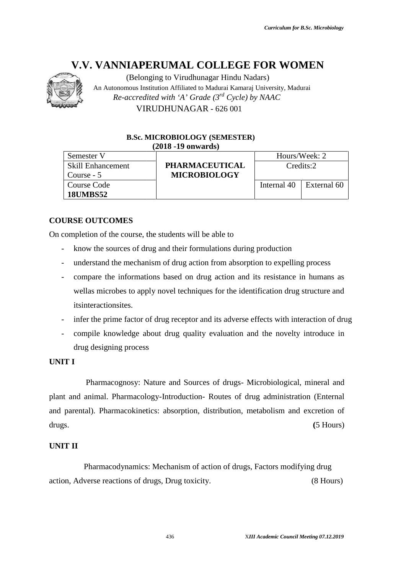

(Belonging to Virudhunagar Hindu Nadars) An Autonomous Institution Affiliated to Madurai Kamaraj University, Madurai *Re-accredited with 'A' Grade (3rd Cycle) by NAAC* VIRUDHUNAGAR - 626 001

# **B.Sc. MICROBIOLOGY (SEMESTER) (2018 -19 onwards)**

| Semester V               |                       |             | Hours/Week: 2 |
|--------------------------|-----------------------|-------------|---------------|
| <b>Skill Enhancement</b> | <b>PHARMACEUTICAL</b> |             | Credits:2     |
| Course - 5               | <b>MICROBIOLOGY</b>   |             |               |
| Course Code              |                       | Internal 40 | External 60   |
| <b>18UMBS52</b>          |                       |             |               |

# **COURSE OUTCOMES**

On completion of the course, the students will be able to

- know the sources of drug and their formulations during production
- understand the mechanism of drug action from absorption to expelling process
- compare the informations based on drug action and its resistance in humans as wellas microbes to apply novel techniques for the identification drug structure and itsinteractionsites.
- infer the prime factor of drug receptor and its adverse effects with interaction of drug
- compile knowledge about drug quality evaluation and the novelty introduce in drug designing process

# **UNIT I**

Pharmacognosy: Nature and Sources of drugs- Microbiological, mineral and plant and animal. Pharmacology-Introduction- Routes of drug administration (Enternal and parental). Pharmacokinetics: absorption, distribution, metabolism and excretion of drugs. **(**5 Hours) V.V. VANIMERE WIMAL COLLEGE FOR WOMEN<br>
ARAMONDER (Belonging to Virulhangar Hinda Nadars)<br>
Are Autonomous hendured Affiliated O Madel Kanari University, Mader<br> *Re accordited with*  $\chi$ <sup>1</sup> Conde (3<sup>pc</sup> Cycle) by *NAAC*<br> *R* 

# **UNIT II**

Pharmacodynamics: Mechanism of action of drugs, Factors modifying drug action, Adverse reactions of drugs, Drug toxicity. (8 Hours)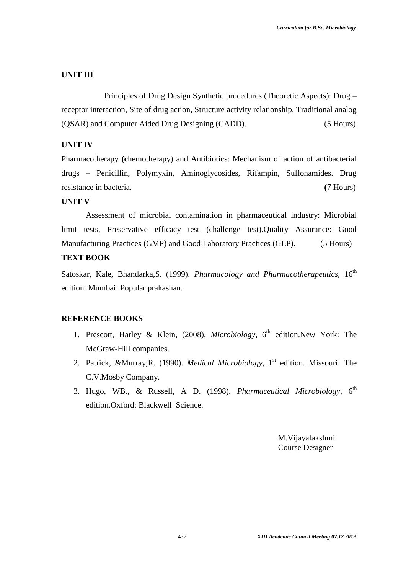#### **UNIT III**

Principles of Drug Design Synthetic procedures (Theoretic Aspects): Drug – receptor interaction, Site of drug action, Structure activity relationship, Traditional analog (QSAR) and Computer Aided Drug Designing (CADD). (5 Hours)

# **UNIT IV**

Pharmacotherapy **(chemotherapy)** and Antibiotics: Mechanism of action of antibacterial drugs – Penicillin, Polymyxin, Aminoglycosides, Rifampin, Sulfonamides. Drug resistance in bacteria. **(**7 Hours)

# **UNIT V**

Assessment of microbial contamination in pharmaceutical industry: Microbial limit tests, Preservative efficacy test (challenge test).Quality Assurance: Good Manufacturing Practices (GMP) and Good Laboratory Practices (GLP). (5 Hours)

# **TEXT BOOK**

Satoskar, Kale, Bhandarka, S. (1999). *Pharmacology and Pharmacotherapeutics*. 16<sup>th</sup> edition. Mumbai: Popular prakashan.

# **REFERENCE BOOKS**

- 1. Prescott, Harley & Klein, (2008). *Microbiology*, 6<sup>th</sup> edition. New York: The McGraw-Hill companies.
- 2. Patrick, &Murray,R. (1990). *Medical Microbiology*, 1<sup>st</sup> edition. Missouri: The C.V.Mosby Company.
- 3. Hugo, WB., & Russell, A D. (1998). *Pharmaceutical Microbiology*, 6<sup>th</sup> edition.Oxford: Blackwell Science.

M.Vijayalakshmi Course Designer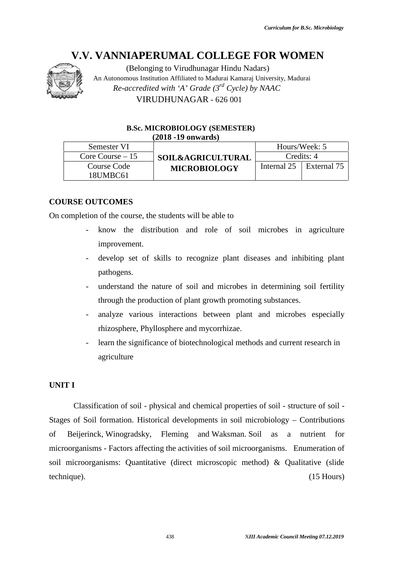

(Belonging to Virudhunagar Hindu Nadars) An Autonomous Institution Affiliated to Madurai Kamaraj University, Madurai *Re-accredited with 'A' Grade (3rd Cycle) by NAAC* VIRUDHUNAGAR - 626 001

#### **B.Sc. MICROBIOLOGY (SEMESTER) (2018 -19 onwards)**

| Semester VI       |                              |               | Hours/Week: 5           |
|-------------------|------------------------------|---------------|-------------------------|
| Core Course $-15$ | <b>SOIL&amp;AGRICULTURAL</b> |               | Credits: 4              |
| Course Code       | <b>MICROBIOLOGY</b>          | Internal $25$ | $\parallel$ External 75 |
| 18UMBC61          |                              |               |                         |

# **COURSE OUTCOMES**

On completion of the course, the students will be able to

- know the distribution and role of soil microbes in agriculture improvement. Course Code<br>
18UMBC61<br>
COUTCOMES<br>
COUTCOMES<br>
Course, the students will be able to<br>
Course, the students will be able to<br>
course, the students will be able to<br>
course in agriculture<br>
improvement.<br>
Course of skills to recogn
- develop set of skills to recognize plant diseases and inhibiting plant pathogens.
- understand the nature of soil and microbes in determining soil fertility through the production of plant growth promoting substances.
- analyze various interactions between plant and microbes especially rhizosphere, Phyllosphere and mycorrhizae.
- learn the significance of biotechnological methods and current research in agriculture analyze various interactions between plant and microl<br>rhizosphere, Phyllosphere and mycorrhizae.<br>learn the significance of biotechnological methods and curre<br>agriculture<br>cation of soil - physical and chemical properties of

# **UNIT I**

Classification of soil - physical and chemical properties of soil - structure of soil - Stages of Soil formation. Historical developments in soil microbiology – Contributions Stages of Soil formation. Historical developments in soil microbiology – Contributions<br>of Beijerinck, Winogradsky, Fleming and Waksman. Soil as a nutrient for microorganisms - Factors affecting the activities of soil microorganisms. Enumeration of soil microorganisms: Quantitative (direct microscopic method) & Qualitative (slide<br>technique). (15 Hours) technique). (15 Hours) **IV.V. VANNIAPERUMAL COLLEGE FOR WOMENT CONTRACT CONTRACT THE CONFIDENT COMENT ANOTHER AN Affiliated With**  $\Delta^2$  **Cryckel by NAAC (TRIUDHUNAGAR - 626.001)<br>
<b>ISENTIFY ACADEMIC SURFACT CONTRACT CONTRACT CONTRACT CONTRACT CON**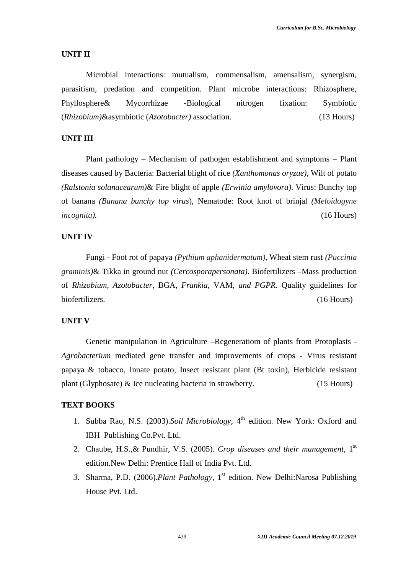#### **UNIT II**

Microbial interactions: mutualism, commensalism, amensalism, synergism, parasitism, predation and competition. Plant microbe interactions: Rhizosphere, Phyllosphere& Mycorrhizae -Biological nitrogen fixation: Symbiotic (*Rhizobium)*&asymbiotic (*Azotobacter)* association. (13 Hours)

# **UNIT III**

Plant pathology – Mechanism of pathogen establishment and symptoms – Plant diseases caused by Bacteria: Bacterial blight of rice *(Xanthomonas oryzae)*, Wilt of potato *(Ralstonia solanacearum)*& Fire blight of apple *(Erwinia amylovora)*. Virus: Bunchy top of banana *(Banana bunchy top virus*), Nematode: Root knot of brinjal *(Meloidogyne incognita).* (16 Hours)

# **UNIT IV**

Fungi - Foot rot of papaya *(Pythium aphanidermatum)*, Wheat stem rust *(Puccinia graminis)*& Tikka in ground nut *(Cercosporapersonata)*. Biofertilizers –Mass production of *Rhizobium, Azotobacter*, BGA, *Frankia*, VAM, *and PGPR*. Quality guidelines for biofertilizers. (16 Hours)

## **UNIT V**

Genetic manipulation in Agriculture –Regeneratiom of plants from Protoplasts - *Agrobacterium* mediated gene transfer and improvements of crops - Virus resistant papaya & tobacco, Innate potato, Insect resistant plant (Bt toxin), Herbicide resistant plant (Glyphosate) & Ice nucleating bacteria in strawberry. (15 Hours)

# **TEXT BOOKS**

- 1. Subba Rao, N.S. (2003).*Soil Microbiology,* 4 th edition. New York: Oxford and IBH Publishing Co.Pvt. Ltd.
- 2. Chaube, H.S.,& Pundhir, V.S. (2005). *Crop diseases and their management,* 1 st edition.New Delhi: Prentice Hall of India Pvt. Ltd.
- 3. Sharma, P.D. (2006). Plant Pathology, 1<sup>st</sup> edition. New Delhi: Narosa Publishing House Pvt. Ltd.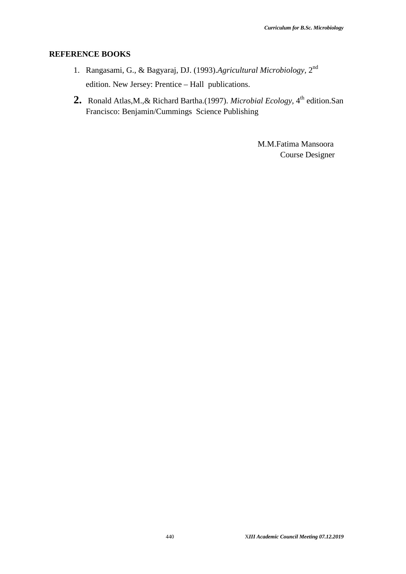#### **REFERENCE BOOKS**

- 1. Rangasami, G., & Bagyaraj, DJ. (1993).*Agricultural Microbiology,* 2 nd edition. New Jersey: Prentice – Hall publications.
- 2. Ronald Atlas, M., & Richard Bartha. (1997). *Microbial Ecology*, 4<sup>th</sup> edition. San Francisco: Benjamin/Cummings Science Publishing

M.M.Fatima Mansoora Course Designer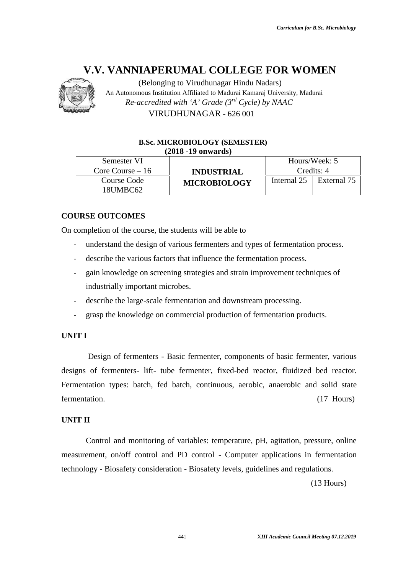

(Belonging to Virudhunagar Hindu Nadars) An Autonomous Institution Affiliated to Madurai Kamaraj University, Madurai *Re-accredited with 'A' Grade (3rd Cycle) by NAAC* VIRUDHUNAGAR - 626 001

#### **B.Sc. MICROBIOLOGY (SEMESTER) (2018 -19 onwards)**

| Semester VI       |                     | Hours/Week: 5           |             |
|-------------------|---------------------|-------------------------|-------------|
| Core Course $-16$ | <b>INDUSTRIAL</b>   |                         | Credits: 4  |
| Course Code       | <b>MICROBIOLOGY</b> | Internal $25 \parallel$ | External 75 |
| 18UMBC62          |                     |                         |             |

# **COURSE OUTCOMES**

On completion of the course, the students will be able to

- understand the design of various fermenters and types of fermentation process.
- describe the various factors that influence the fermentation process.
- gain knowledge on screening strategies and strain improvement techniques of industrially important microbes.
- describe the large-scale fermentation and downstream processing.
- grasp the knowledge on commercial production of fermentation products.

# **UNIT I**

Design of fermenters - Basic fermenter, components of basic fermenter, various designs of fermenters- lift- tube fermenter, fixed-bed reactor, fluidized bed reactor. Fermentation types: batch, fed batch, continuous, aerobic, anaerobic and solid state fermentation. (17 Hours) **IV.V. VANNIAPERUMAL COLLEGE FOR WOMEN**<br>
An Affiliation Affiliated In Valuent Memori (Every the Control Control Control Control (Section Affiliated Kamaraj University, Maduran Valuent Control Control Control Control Contro of the course, the students will be able to<br>and the design of various fermenters and types of fermentation proce<br>the various factors that influence the fermentation process.<br>sowledge on screening strategies and strain impr

# **UNIT II**

Control and monitoring of variables: temperature, pH, agitation, pressure, online measurement, on/off control and PD control - Computer applications in fermentation technology - Biosafety consideration - Biosafety levels, guidelines and regulations.

(13 Hours)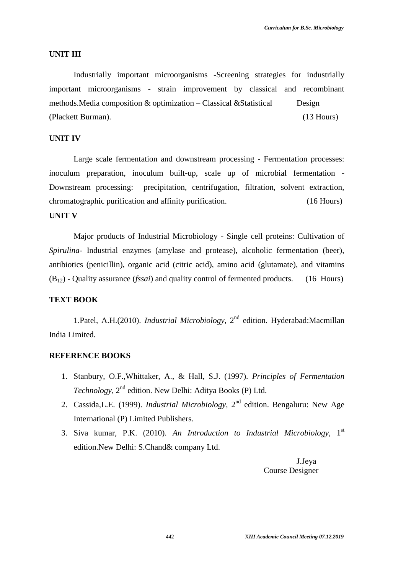#### **UNIT III**

Industrially important microorganisms -Screening strategies for industrially important microorganisms - strain improvement by classical and recombinant methods. Media composition  $\&$  optimization – Classical  $\&$ Statistical Design (Plackett Burman). (13 Hours)

# **UNIT IV**

Large scale fermentation and downstream processing - Fermentation processes: inoculum preparation, inoculum built-up, scale up of microbial fermentation - Downstream processing: precipitation, centrifugation, filtration, solvent extraction, chromatographic purification and affinity purification. (16 Hours) **UNIT V**

Major products of Industrial Microbiology - Single cell proteins: Cultivation of *Spirulina-* Industrial enzymes (amylase and protease), alcoholic fermentation (beer), antibiotics (penicillin), organic acid (citric acid), amino acid (glutamate), and vitamins (B12) - Quality assurance (*fssai*) and quality control of fermented products. (16 Hours)

#### **TEXT BOOK**

1.Patel, A.H.(2010). *Industrial Microbiology*, 2<sup>nd</sup> edition. Hyderabad:Macmillan India Limited.

# **REFERENCE BOOKS**

- 1. Stanbury, O.F.,Whittaker, A., & Hall, S.J. (1997). *Principles of Fermentation* Technology, 2<sup>nd</sup> edition. New Delhi: Aditya Books (P) Ltd.
- 2. Cassida, L.E. (1999). *Industrial Microbiology*, 2<sup>nd</sup> edition. Bengaluru: New Age International (P) Limited Publishers.
- 3. Siva kumar, P.K. (2010). *An Introduction to Industrial Microbiology,* 1 st edition.New Delhi: S.Chand& company Ltd.

J.Jeya Course Designer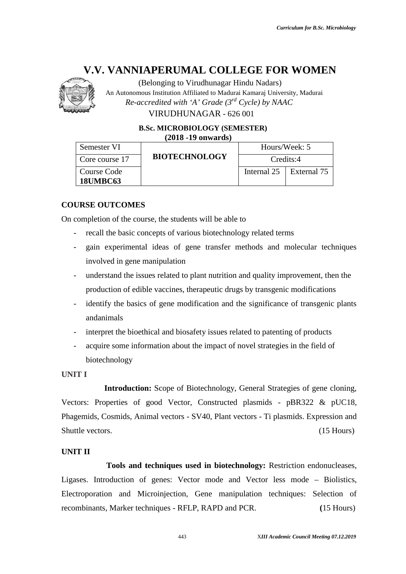

(Belonging to Virudhunagar Hindu Nadars) An Autonomous Institution Affiliated to Madurai Kamaraj University, Madurai *Re-accredited with 'A' Grade (3rd Cycle) by NAAC*

VIRUDHUNAGAR - 626 001

**B.Sc. MICROBIOLOGY (SEMESTER) (2018 -19 onwards)**

| Semester VI     |                      | Hours/Week: 5                   |
|-----------------|----------------------|---------------------------------|
| Core course 17  | <b>BIOTECHNOLOGY</b> | Credits:4                       |
| Course Code     |                      | Internal $25 \perp$ External 75 |
| <b>18UMBC63</b> |                      |                                 |

# **COURSE OUTCOMES**

On completion of the course, the students will be able to

- recall the basic concepts of various biotechnology related terms
- gain experimental ideas of gene transfer methods and molecular techniques involved in gene manipulation
- understand the issues related to plant nutrition and quality improvement, then the production of edible vaccines, therapeutic drugs by transgenic modifications
- identify the basics of gene modification and the significance of transgenic plants andanimals pletion of the course, the students will be able to<br>recall the basic concepts of various biotechnology related terms<br>gain experimental ideas of gene transfer methods and molecular techniques<br>involved in gene manipulation<br>u
- interpret the bioethical and biosafety issues related to patenting of products
- acquire some information about the impact of novel strategies in the field of biotechnology

# **UNIT I**

**Introduction:** Scope of Biotechnology, General Strategies of gene cloning, Vectors: Properties of good Vector, Constructed plasmids - pBR322 & pUC18, Phagemids, Cosmids, Animal vectors - SV40, Plant vectors - Ti plasmids. Expression and Shuttle vectors. (15 Hours) (15 Hours) **IV.V. VANNIAPERUMAL COLLEGE FOR WOMEN**<br>
An Affe-incremindum Miliated to Moral (27) Cycle by NAIC<br>
Accuration in Miliated Mathematical Mathematical Corresponds Mathematical Contentral Viera (37) Cycle by NAIC<br> **EXECUTE UN** the impact of novel strategies in the<br>otechnology, General Strategies of<br>Constructed plasmids - pBR322<br>SV40, Plant vectors - Ti plasmids. E<br>ed in biotechnology: Restriction e<br>or mode and Vector less mode<br>Gene manipulation

# **UNIT II**

**Tools and techniques used in biotechnology:** Restriction endonucleases, Ligases. Introduction of genes: Vector mode and Vector less mode – Biolistics, Electroporation and Microinjection, Gene manipulation techniques: Selection of recombinants, Marker techniques - RFLP, RAPD and PCR. **(**15 Hours) Phagemids, Cosmids, Animal vectors - SV40, Plant vectors - Ti plasmids. Expression<br>Shuttle vectors. (15 Hot<br>UNIT II<br>Tools and techniques used in biotechnology: Restriction endonuclea<br>Ligases. Introduction of genes: Vector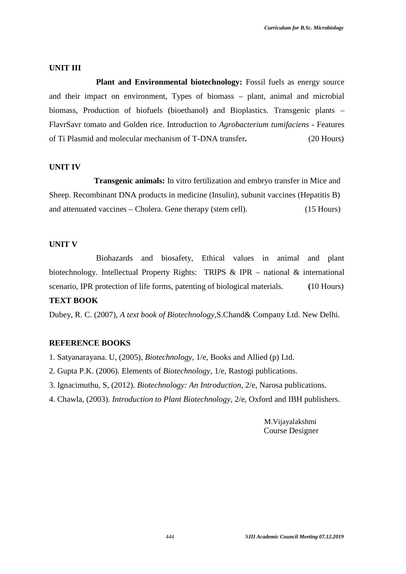#### **UNIT III**

**Plant and Environmental biotechnology:** Fossil fuels as energy source and their impact on environment, Types of biomass – plant, animal and microbial biomass, Production of biofuels (bioethanol) and Bioplastics. Transgenic plants – FlavrSavr tomato and Golden rice. Introduction to *Agrobacterium tumifaciens -* Features of Ti Plasmid and molecular mechanism of T-DNA transfer**.** (20 Hours)

#### **UNIT IV**

**Transgenic animals:** In vitro fertilization and embryo transfer in Mice and Sheep. Recombinant DNA products in medicine (Insulin), subunit vaccines (Hepatitis B) and attenuated vaccines – Cholera. Gene therapy (stem cell). (15 Hours)

#### **UNIT V**

Biohazards and biosafety, Ethical values in animal and plant biotechnology. Intellectual Property Rights: TRIPS & IPR – national & international scenario, IPR protection of life forms, patenting of biological materials. **(**10 Hours)

# **TEXT BOOK**

Dubey, R. C. (2007), *A text book of Biotechnology,*S.Chand& Company Ltd. New Delhi.

# **REFERENCE BOOKS**

- 1. Satyanarayana. U, (2005), *Biotechnology,* 1/e, Books and Allied (p) Ltd.
- 2. Gupta P.K. (2006). Elements of *Biotechnology,* 1/e, Rastogi publications.
- 3. Ignacimuthu, S, (2012). *Biotechnology: An Introduction,* 2/e, Narosa publications.
- 4. Chawla, (2003). *Introduction to Plant Biotechnology*, 2/e, Oxford and IBH publishers.

M.Vijayalakshmi Course Designer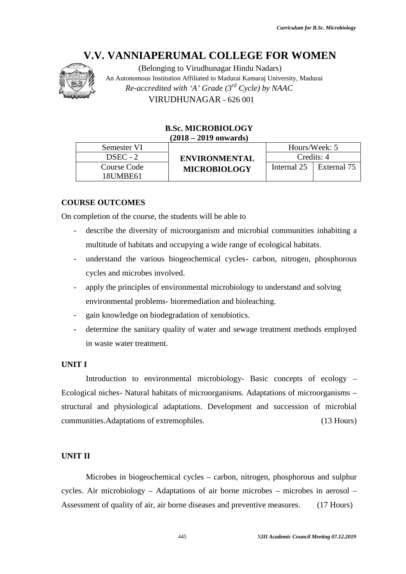

(Belonging to Virudhunagar Hindu Nadars) An Autonomous Institution Affiliated to Madurai Kamaraj University, Madurai *Re-accredited with 'A' Grade (3rd Cycle) by NAAC* VIRUDHUNAGAR - 626 001

# **B.Sc. MICROBIOLOGY (2018 – 2019 onwards)**

|             | $-0.220$ $-0.220$ $-0.200$ |             |               |
|-------------|----------------------------|-------------|---------------|
| Semester VI |                            |             | Hours/Week: 5 |
| $DSEC - 2$  | <b>ENVIRONMENTAL</b>       |             | Credits: 4    |
| Course Code | <b>MICROBIOLOGY</b>        | Internal 25 | External 75   |
| 18UMBE61    |                            |             |               |

# **COURSE OUTCOMES**

On completion of the course, the students will be able to

- describe the diversity of microorganism and microbial communities inhabiting a multitude of habitats and occupying a wide range of ecological habitats. Code<br>
Internal 25 External 75<br>
IMES<br>
External 75<br>
External 75<br>
MES<br>
diversity of microorganism and microbial communities inhabiting a<br>
chabitats and occupying a wide range of ecological habitats.<br>
the various biogeochemica
- understand the various biogeochemical cycles- carbon, nitrogen, phosphorous cycles and microbes involved.
- apply the principles of environmental microbiology to understand and solving<br>
environmental problems-bioremediation and bioleaching.<br>
 gain knowledge on biodegradation of xenobiotics. environmental problems- bioremediation and bioleaching.
- gain knowledge on biodegradation of xenobiotics.
- determine the sanitary quality of water and sewage treatment methods employed<br>in waste water treatment.<br>IT I<br>Introduction to environmental microbiology- Basic concepts of ecology in waste water treatment.

# **UNIT I**

Introduction to environmental microbiology- Basic concepts of ecology – Ecological niches- Natural habitats of microorganisms. Adaptations of microorganisms structural and physiological adaptations. Development and succession of microbial communities.Adaptations of extremophiles. (13 Hours) **IV.V. VANNIAPERUMAL COLLEGE FOR WOMEN ACAGES FOR WOMEN (Belonging to Virudumager Hindu Nedata)**<br>
An Attonomous instantion Affiliated to Madural University, Maduration<br> *IF the accredited with 'A' Gradie (3<sup>92</sup> Cycle) by* EXECTIVE SERVITRONMENTAL FOREST SCHOIST SERVITRONMENTAL Credis: 4<br>
ISLMBE61 ISLMBE61 MICROBIOLOGY TEETING Credis: 4<br>
ISLMBE61 ISLMBE61 MICROBIOLOGY TEETING TREMENTAL CREDIS: 4<br>
ISLMBE61 ISLMBE61 MICROBIOLOGY TERUS EXEMBED

# **UNIT II**

Microbes in biogeochemical cycles – carbon, nitrogen, phosphorous and sulphur cycles. Air microbiology – Adaptations of air borne microbes – microbes in aerosol – Assessment of quality of air, air borne diseases and preventive measures. (17 Hours)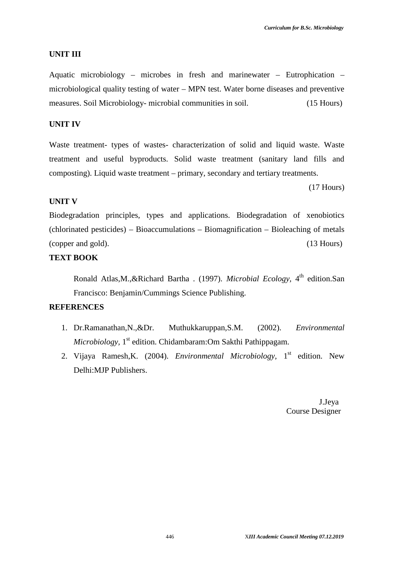#### **UNIT III**

Aquatic microbiology – microbes in fresh and marinewater – Eutrophication – microbiological quality testing of water – MPN test. Water borne diseases and preventive measures. Soil Microbiology- microbial communities in soil. (15 Hours)

# **UNIT IV**

Waste treatment- types of wastes- characterization of solid and liquid waste. Waste treatment and useful byproducts. Solid waste treatment (sanitary land fills and composting). Liquid waste treatment – primary, secondary and tertiary treatments.

(17 Hours)

## **UNIT V**

Biodegradation principles, types and applications. Biodegradation of xenobiotics (chlorinated pesticides) – Bioaccumulations – Biomagnification – Bioleaching of metals (copper and gold). (13 Hours)

# **TEXT BOOK**

Ronald Atlas, M., & Richard Bartha . (1997). *Microbial Ecology*, 4<sup>th</sup> edition. San Francisco: Benjamin/Cummings Science Publishing.

## **REFERENCES**

- 1. Dr.Ramanathan,N.,&Dr. Muthukkaruppan,S.M. (2002). *Environmental Microbiology,* 1 st edition. Chidambaram:Om Sakthi Pathippagam.
- 2. Vijaya Ramesh,K. (2004). *Environmental Microbiology,* 1 st edition. New Delhi:MJP Publishers.

J.Jeya Course Designer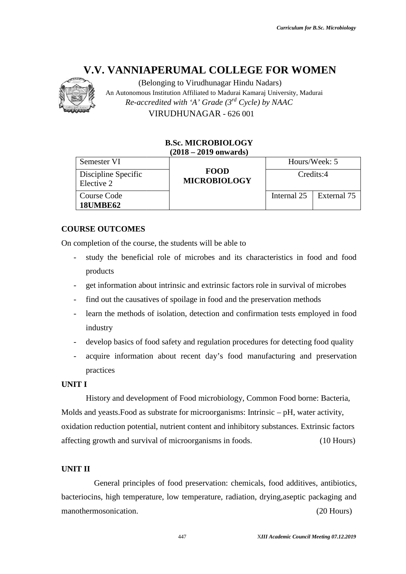

# **B.Sc. MICROBIOLOGY (2018 – 2019 onwards)**

|                                                        | <b>B.Sc. MICROBIOLOGY</b><br>$(2018 - 2019$ onwards)                                      |             |               |
|--------------------------------------------------------|-------------------------------------------------------------------------------------------|-------------|---------------|
| Semester VI                                            |                                                                                           |             | Hours/Week: 5 |
| Discipline Specific<br>Elective 2                      | <b>FOOD</b><br><b>MICROBIOLOGY</b>                                                        | Credits:4   |               |
| <b>Course Code</b><br><b>18UMBE62</b>                  |                                                                                           | Internal 25 | External 75   |
|                                                        |                                                                                           |             |               |
| <b>URSE OUTCOMES</b>                                   |                                                                                           |             |               |
| completion of the course, the students will be able to |                                                                                           |             |               |
|                                                        | study the beneficial role of microbes and its characteristics in food and food            |             |               |
| products                                               |                                                                                           |             |               |
|                                                        | get information about intrinsic and extrinsic factors role in survival of microbes        |             |               |
| $\overline{\phantom{0}}$                               | find out the causatives of spoilage in food and the preservation methods                  |             |               |
| $\overline{\phantom{0}}$<br>industry                   | learn the methods of isolation, detection and confirmation tests employed in food         |             |               |
| $\overline{\phantom{0}}$                               | develop basics of food safety and regulation procedures for detecting food quality        |             |               |
| $\overline{\phantom{0}}$<br>practices                  | acquire information about recent day's food manufacturing and preservation                |             |               |
| IT I                                                   |                                                                                           |             |               |
|                                                        | History and development of Food microbiology, Common Food borne: Bacteria,                |             |               |
|                                                        | lds and yeasts. Food as substrate for microorganisms: Intrinsic - pH, water activity,     |             |               |
|                                                        | dation reduction potential, nutrient content and inhibitory substances. Extrinsic factors |             |               |
| ecting growth and survival of microorganisms in foods. |                                                                                           |             | $(10$ Hours)  |
|                                                        |                                                                                           |             |               |
| IT II                                                  |                                                                                           |             |               |
|                                                        | General principles of food preservation: chemicals, food additives, antibiotics,          |             |               |
|                                                        | teriocins, high temperature, low temperature, radiation, drying, aseptic packaging and    |             |               |
| nothermosonication.                                    |                                                                                           |             | $(20$ Hours)  |
|                                                        |                                                                                           |             |               |

# **COURSE OUTCOMES**

On completion of the course, the students will be able to

- completion of the course, the students will be able to<br>- study the beneficial role of microbes and its characteristics in food and food products
- get information about intrinsic and extrinsic factors role in survival of microbes
- find out the causatives of spoilage in food and the preservation methods
- learn the methods of isolation, detection and confirmation tests employed in food industry get information about intrinsic and extrinsic factors role in surviver find out the causatives of spoilage in food and the preservation m<br>learn the methods of isolation, detection and confirmation tests industry
- develop basics of food safety and regulation procedures for detecting food quality
- acquire information about recent day's food manufacturing and preservation practices

# **UNIT I**

# **UNIT II**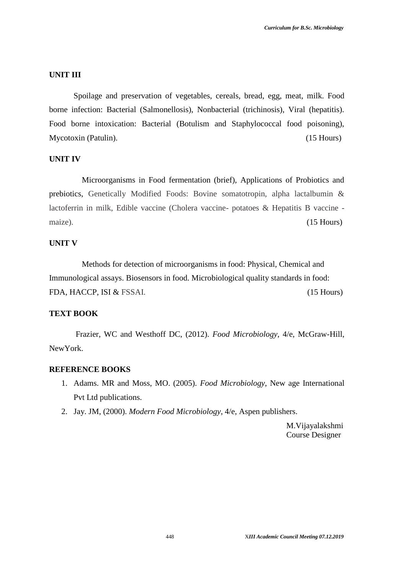#### **UNIT III**

Spoilage and preservation of vegetables, cereals, bread, egg, meat, milk. Food borne infection: Bacterial (Salmonellosis), Nonbacterial (trichinosis), Viral (hepatitis). Food borne intoxication: Bacterial (Botulism and Staphylococcal food poisoning), Mycotoxin (Patulin). (15 Hours)

#### **UNIT IV**

Microorganisms in Food fermentation (brief), Applications of Probiotics and prebiotics, Genetically Modified Foods: Bovine somatotropin, alpha lactalbumin & lactoferrin in milk, Edible vaccine (Cholera vaccine- potatoes & Hepatitis B vaccine maize). (15 Hours)

## **UNIT V**

Methods for detection of microorganisms in food: Physical, Chemical and Immunological assays. Biosensors in food. Microbiological quality standards in food: FDA, HACCP, ISI & FSSAI. (15 Hours)

# **TEXT BOOK**

Frazier, WC and Westhoff DC, (2012). *Food Microbiology*, 4/e, McGraw-Hill, NewYork.

# **REFERENCE BOOKS**

- 1. Adams. MR and Moss, MO. (2005). *Food Microbiology*, New age International Pvt Ltd publications.
- 2. Jay. JM, (2000). *Modern Food Microbiology*, 4/e, Aspen publishers.

M.Vijayalakshmi Course Designer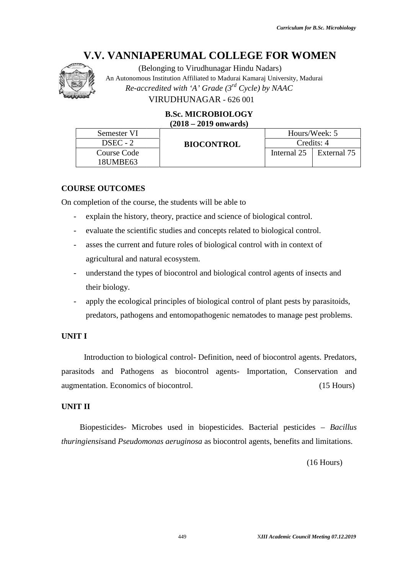

# **B.Sc. MICROBIOLOGY (2018 – 2019 onwards)**

| Semester VI                                                      | $(2018 - 2019$ onwards)                                                               |             |                           |
|------------------------------------------------------------------|---------------------------------------------------------------------------------------|-------------|---------------------------|
|                                                                  |                                                                                       |             | Hours/Week: 5             |
| DSEC - 2<br><b>Course Code</b>                                   | <b>BIOCONTROL</b>                                                                     | Internal 25 | Credits: 4<br>External 75 |
| 18UMBE63                                                         |                                                                                       |             |                           |
| <b>URSE OUTCOMES</b>                                             |                                                                                       |             |                           |
|                                                                  | completion of the course, the students will be able to                                |             |                           |
|                                                                  | explain the history, theory, practice and science of biological control.              |             |                           |
|                                                                  | evaluate the scientific studies and concepts related to biological control.           |             |                           |
|                                                                  | asses the current and future roles of biological control with in context of           |             |                           |
| agricultural and natural ecosystem.                              |                                                                                       |             |                           |
|                                                                  | understand the types of biocontrol and biological control agents of insects and       |             |                           |
| their biology.                                                   |                                                                                       |             |                           |
|                                                                  | apply the ecological principles of biological control of plant pests by parasitoids,  |             |                           |
|                                                                  | predators, pathogens and entomopathogenic nematodes to manage pest problems.          |             |                           |
|                                                                  |                                                                                       |             |                           |
|                                                                  |                                                                                       |             |                           |
|                                                                  |                                                                                       |             |                           |
|                                                                  | Introduction to biological control- Definition, need of biocontrol agents. Predators, |             |                           |
|                                                                  | asitods and Pathogens as biocontrol agents- Importation, Conservation and             |             | $(15$ Hours)              |
|                                                                  |                                                                                       |             |                           |
| <b>ITI</b><br>mentation. Economics of biocontrol.<br>$\Pi$ $\Pi$ |                                                                                       |             |                           |
|                                                                  | Biopesticides- Microbes used in biopesticides. Bacterial pesticides – Bacillus        |             |                           |
|                                                                  | ringiensisand Pseudomonas aeruginosa as biocontrol agents, benefits and limitations.  |             |                           |

# **COURSE OUTCOMES**

On completion of the course, the students will be able to

- explain the history, theory, practice and science of biological control.
- evaluate the scientific studies and concepts related to biological control.
- asses the current and future roles of biological control with in context of agricultural and natural ecosystem. completion of the course, the students will be able to<br>
explain the history, theory, practice and science of biological control.<br>
evaluate the scientific studies and concepts related to biological control.<br>
asses the curre
- their biology.
- apply the ecological principles of biological control of plant pests by parasitoids, predators, pathogens and entomopathogenic nematodes to manage pest problems.

# **UNIT I**

# **UNIT II**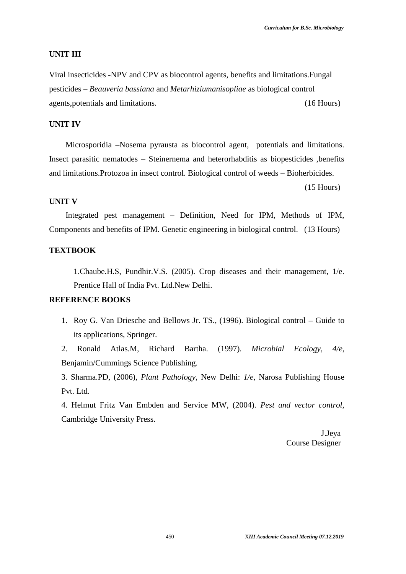#### **UNIT III**

Viral insecticides -NPV and CPV as biocontrol agents, benefits and limitations.Fungal pesticides – *Beauveria bassiana* and *Metarhiziumanisopliae* as biological control agents,potentials and limitations. (16 Hours)

# **UNIT IV**

Microsporidia –Nosema pyrausta as biocontrol agent, potentials and limitations. Insect parasitic nematodes – Steinernema and heterorhabditis as biopesticides ,benefits and limitations.Protozoa in insect control. Biological control of weeds – Bioherbicides.

(15 Hours)

#### **UNIT V**

Integrated pest management – Definition, Need for IPM, Methods of IPM, Components and benefits of IPM. Genetic engineering in biological control. (13 Hours)

#### **TEXTBOOK**

1.Chaube.H.S, Pundhir.V.S. (2005). Crop diseases and their management, 1/e. Prentice Hall of India Pvt. Ltd.New Delhi.

#### **REFERENCE BOOKS**

1. Roy G. Van Driesche and Bellows Jr. TS., (1996). Biological control – Guide to its applications, Springer.

2. Ronald Atlas.M, Richard Bartha. (1997). *Microbial Ecology, 4/e*, Benjamin/Cummings Science Publishing.

3. Sharma.PD, (2006), *Plant Pathology*, New Delhi: *1/e,* Narosa Publishing House Pvt. Ltd.

4. Helmut Fritz Van Embden and Service MW, (2004). *Pest and vector control*, Cambridge University Press.

> J.Jeya Course Designer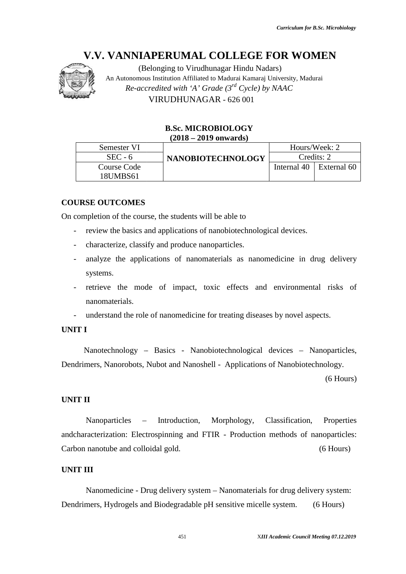

# **B.Sc. MICROBIOLOGY (2018 – 2019 onwards)**

| <b>B.Sc. MICROBIOLOGY</b><br>$(2018 - 2019$ onwards)                                                   |                 |                           |
|--------------------------------------------------------------------------------------------------------|-----------------|---------------------------|
| Semester VI                                                                                            |                 | Hours/Week: 2             |
| $SEC - 6$<br><b>NANOBIOTECHNOLOGY</b><br><b>Course Code</b>                                            | Internal 40     | Credits: 2<br>External 60 |
| 18UMBS61                                                                                               |                 |                           |
| <b>DURSE OUTCOMES</b>                                                                                  |                 |                           |
| completion of the course, the students will be able to                                                 |                 |                           |
| review the basics and applications of nanobiotechnological devices.<br>$\qquad \qquad -$               |                 |                           |
| characterize, classify and produce nanoparticles.<br>$\qquad \qquad -$                                 |                 |                           |
| analyze the applications of nanomaterials as nanomedicine in drug delivery<br>$\overline{\phantom{0}}$ |                 |                           |
| systems.                                                                                               |                 |                           |
| retrieve the mode of impact, toxic effects and environmental risks of                                  |                 |                           |
| nanomaterials.                                                                                         |                 |                           |
|                                                                                                        |                 |                           |
| understand the role of nanomedicine for treating diseases by novel aspects.                            |                 |                           |
| $\bf I\bf T\bf I$                                                                                      |                 |                           |
| Nanotechnology - Basics - Nanobiotechnological devices - Nanoparticles,                                |                 |                           |
| ndrimers, Nanorobots, Nubot and Nanoshell - Applications of Nanobiotechnology.                         |                 |                           |
|                                                                                                        |                 | $(6$ Hours)               |
|                                                                                                        |                 |                           |
| II TII                                                                                                 |                 |                           |
| Nanoparticles – Introduction, Morphology,                                                              | Classification, | Properties                |
| Icharacterization: Electrospinning and FTIR - Production methods of nanoparticles:                     |                 |                           |
|                                                                                                        |                 |                           |
| rbon nanotube and colloidal gold.                                                                      |                 | $(6$ Hours)               |
|                                                                                                        |                 |                           |

# **COURSE OUTCOMES**

On completion of the course, the students will be able to

- review the basics and applications of nanobiotechnological devices.
- characterize, classify and produce nanoparticles.
- analyze the applications of nanomaterials as nanomedicine in drug delivery systems.
- retrieve the mode of impact, toxic effects and environmental risks of nanomaterials.
- understand the role of nanomedicine for treating diseases by novel aspects.

# **UNIT I**

# **UNIT II**

# **UNIT III**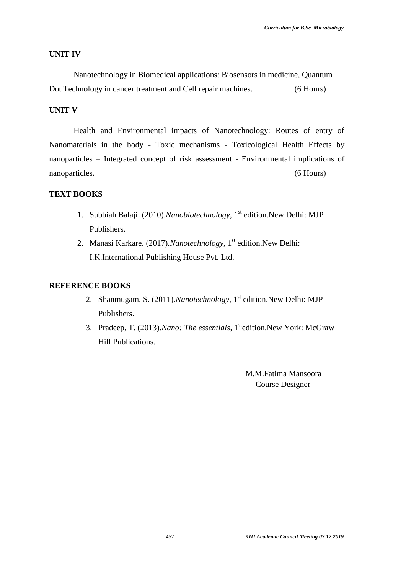#### **UNIT IV**

Nanotechnology in Biomedical applications: Biosensors in medicine, Quantum Dot Technology in cancer treatment and Cell repair machines. (6 Hours)

# **UNIT V**

Health and Environmental impacts of Nanotechnology: Routes of entry of Nanomaterials in the body - Toxic mechanisms - Toxicological Health Effects by nanoparticles – Integrated concept of risk assessment - Environmental implications of nanoparticles. (6 Hours)

# **TEXT BOOKS**

- 1. Subbiah Balaji. (2010).*Nanobiotechnology,* 1 st edition.New Delhi: MJP Publishers.
- 2. Manasi Karkare. (2017).*Nanotechnology,* 1 st edition.New Delhi: I.K.International Publishing House Pvt. Ltd.

#### **REFERENCE BOOKS**

- 2. Shanmugam, S. (2011).*Nanotechnology,* 1 st edition.New Delhi: MJP Publishers.
- 3. Pradeep, T. (2013). Nano: The essentials, 1<sup>st</sup>edition. New York: McGraw Hill Publications.

M.M.Fatima Mansoora Course Designer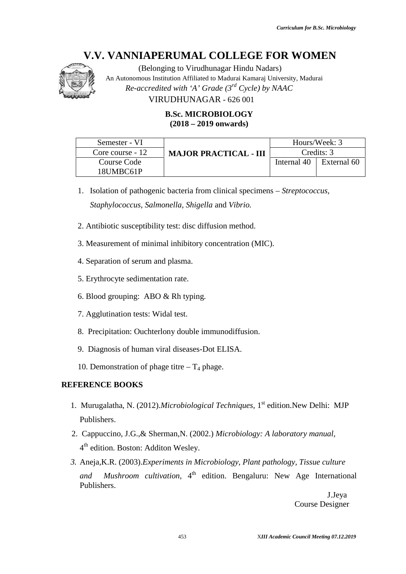

# **B.Sc. MICROBIOLOGY (2018 – 2019 onwards)**

| $(2018 - 2019$ onwards)<br>Hours/Week: 3<br>Semester - VI<br>Credits: 3<br>Core course - 12<br><b>MAJOR PRACTICAL - III</b><br>Internal 40<br>Course Code<br>18UMBC61P<br>1. Isolation of pathogenic bacteria from clinical specimens – Streptococcus, | External 60 |
|--------------------------------------------------------------------------------------------------------------------------------------------------------------------------------------------------------------------------------------------------------|-------------|
|                                                                                                                                                                                                                                                        |             |
|                                                                                                                                                                                                                                                        |             |
|                                                                                                                                                                                                                                                        |             |
|                                                                                                                                                                                                                                                        |             |
| Staphylococcus, Salmonella, Shigella and Vibrio.                                                                                                                                                                                                       |             |
| 2. Antibiotic susceptibility test: disc diffusion method.                                                                                                                                                                                              |             |
| 3. Measurement of minimal inhibitory concentration (MIC).                                                                                                                                                                                              |             |
| 4. Separation of serum and plasma.                                                                                                                                                                                                                     |             |
| 5. Erythrocyte sedimentation rate.                                                                                                                                                                                                                     |             |
| 6. Blood grouping: ABO $& Rh$ typing.                                                                                                                                                                                                                  |             |
| 7. Agglutination tests: Widal test.                                                                                                                                                                                                                    |             |
| 8. Precipitation: Ouchterlony double immunodiffusion.                                                                                                                                                                                                  |             |
| 9. Diagnosis of human viral diseases-Dot ELISA.                                                                                                                                                                                                        |             |
| 10. Demonstration of phage titre $-T_4$ phage.                                                                                                                                                                                                         |             |
| <b>FERENCE BOOKS</b>                                                                                                                                                                                                                                   |             |
| . Murugalatha, N. (2012). Microbiological Techniques, 1 <sup>st</sup> edition. New Delhi: MJP<br>Publishers.                                                                                                                                           |             |
| 2. Cappuccino, J.G., & Sherman, N. (2002.) Microbiology: A laboratory manual,<br>4 <sup>th</sup> edition. Boston: Additon Wesley.                                                                                                                      |             |
| 3. Aneja, K.R. (2003). Experiments in Microbiology, Plant pathology, Tissue culture                                                                                                                                                                    |             |
| Mushroom cultivation, 4 <sup>th</sup> edition. Bengaluru: New Age International<br>and                                                                                                                                                                 |             |
| Publishers.<br><b>Course Designer</b>                                                                                                                                                                                                                  | J.Jeya      |
| 453<br>XIII Academic Council Meeting 07.12.2019                                                                                                                                                                                                        |             |

- *Staphylococcus, Salmonella, Shigella* and *Vibrio. Staphylococcus, Salmonella,*
- 2. Antibiotic susceptibility test: disc diffusion method.
- 3. Measurement of minimal inhibitory concentration (MIC). Antibiotic susceptibility test: disc diffusion method.<br>
Measurement of minimal inhibitory concentration (MIC).<br>
Separation of serum and plasma.<br>
Erythrocyte sedimentation rate.<br>
Blood grouping: ABO & Rh typing.<br>
Agglutinat
- 4. Separation of serum and plasma.
- 5. Erythrocyte sedimentation rate.
- 6. Blood grouping: ABO & Rh typing.
- 7. Agglutination tests: Widal test.
- 8. Precipitation: Ouchterlony double immunodiffusion.
- 9. Diagnosis of human viral diseases-Dot ELISA.
- 9. Diagnosis of human viral diseases-Dot ELISA<br>10. Demonstration of phage titre  $T_4$  phage.

# **REFERENCE BOOKS**

- 1. Murugalatha, N. (2012).*Microbiological Techniques,* 1 st edition.New Delhi: MJP (2012).*Microbiological Techniques,*Publishers.
- 2. Cappuccino, J.G.,& Sherman,N. (2002.) *Microbiology: A laboratory manual,* 4 th edition. Boston: Additon Wesley.
- *3.* Aneja,K.R. (2003).*Experiments in Microbiology, Plant pathology, Tissue culture* Aneja,K.R. (2003). *Experiments in Microbiology, Plant pathology, Tissue culture*<br>*and Mushroom cultivation*, 4<sup>th</sup> edition. Bengaluru: New Age International Publishers.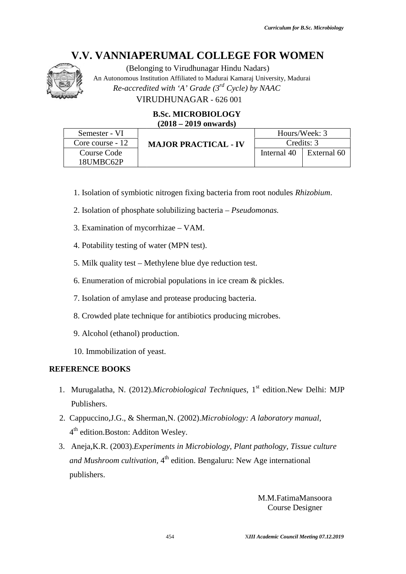

# **B.Sc. MICROBIOLOGY (2018 – 2019 onwards)**

| VIRUDHUNAGAR - 626 001<br><b>B.Sc. MICROBIOLOGY</b> |                                                                                     |                             |                                              |             |  |
|-----------------------------------------------------|-------------------------------------------------------------------------------------|-----------------------------|----------------------------------------------|-------------|--|
| $(2018 - 2019$ onwards)                             |                                                                                     |                             |                                              |             |  |
| Semester - VI<br>Core course - 12                   |                                                                                     |                             | Hours/Week: 3<br>Credits: 3                  |             |  |
| <b>Course Code</b><br>18UMBC62P                     |                                                                                     | <b>MAJOR PRACTICAL - IV</b> | Internal 40                                  | External 60 |  |
|                                                     | 1. Isolation of symbiotic nitrogen fixing bacteria from root nodules Rhizobium.     |                             |                                              |             |  |
|                                                     | 2. Isolation of phosphate solubilizing bacteria – <i>Pseudomonas</i> .              |                             |                                              |             |  |
|                                                     | 3. Examination of mycorrhizae – VAM.                                                |                             |                                              |             |  |
|                                                     | 4. Potability testing of water (MPN test).                                          |                             |                                              |             |  |
|                                                     | 5. Milk quality test - Methylene blue dye reduction test.                           |                             |                                              |             |  |
|                                                     | 6. Enumeration of microbial populations in ice cream & pickles.                     |                             |                                              |             |  |
|                                                     | 7. Isolation of amylase and protease producing bacteria.                            |                             |                                              |             |  |
|                                                     | 8. Crowded plate technique for antibiotics producing microbes.                      |                             |                                              |             |  |
| 9. Alcohol (ethanol) production.                    |                                                                                     |                             |                                              |             |  |
| 10. Immobilization of yeast.                        |                                                                                     |                             |                                              |             |  |
| <b>FERENCE BOOKS</b>                                |                                                                                     |                             |                                              |             |  |
| Publishers.                                         | . Murugalatha, N. (2012). Microbiological Techniques, $1st$ edition. New Delhi: MJP |                             |                                              |             |  |
| 4 <sup>th</sup> edition. Boston: Additon Wesley.    | 2. Cappuccino, J.G., & Sherman, N. (2002). Microbiology: A laboratory manual,       |                             |                                              |             |  |
| ١.                                                  | Aneja, K.R. (2003). Experiments in Microbiology, Plant pathology, Tissue culture    |                             |                                              |             |  |
|                                                     | and Mushroom cultivation, 4 <sup>th</sup> edition. Bengaluru: New Age international |                             |                                              |             |  |
| publishers.                                         |                                                                                     |                             |                                              |             |  |
|                                                     |                                                                                     |                             | M.M.FatimaMansoora<br><b>Course Designer</b> |             |  |
|                                                     | 454                                                                                 |                             | XIII Academic Council Meeting 07.12.2019     |             |  |

- 1. Isolation of symbiotic nitrogen fixing bacteria from root nodules *Rhizobium*.
- 2. Isolation of phosphate solubilizing bacteria *Pseudomonas.*
- 3. Examination of mycorrhizae VAM.
- 4. Potability testing of water (MPN test).
- 1. Isolation of phosphate solubilizing bacteria *Pseudomond*<br>
1. Examination of mycorrhizae VAM.<br>
1. Potability testing of water (MPN test).<br>
5. Milk quality test Methylene blue dye reduction test.
- 6. Enumeration of microbial populations in ice cream & pickles.
- 7. Isolation of amylase and protease producing bacteria.
- 7. Isolation of amylase and protease producing bacteria.<br>8. Crowded plate technique for antibiotics producing microbes.
- 9. Alcohol (ethanol) production.
- 10. Immobilization of yeast.

# **REFERENCE BOOKS**

- 1. Murugalatha, N. (2012).*Microbiological Techniques*, 1<sup>st</sup> edition.New Delhi: MJP Publishers.
- 2. Cappuccino,J.G., & Sherman,N. (2002).*Microbiology: A laboratory manual,*  $4<sup>th</sup>$  edition. Boston: Additon Wesley.
- 3. Aneja,K.R. (2003).*Experiments in Microbiology, Plant pathology, Tissue culture* (2003).*Experiments* and Mushroom cultivation, 4<sup>th</sup> edition. Bengaluru: New Age international<br>publishers.<br>M.M.FatimaMansoon<br>Course Designer publishers.